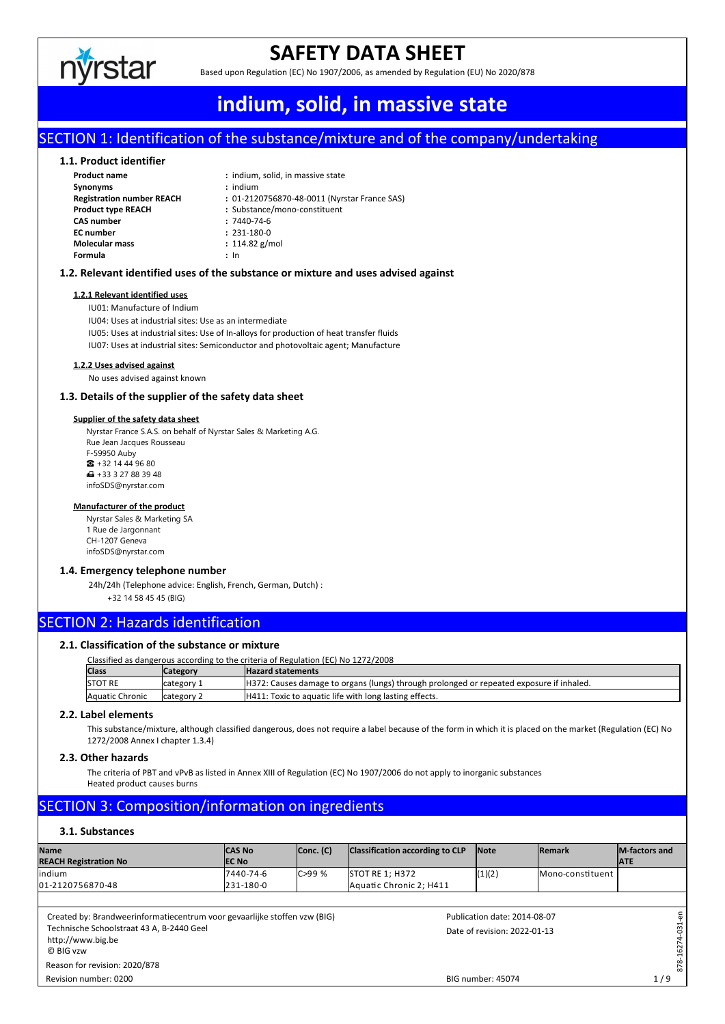

## **SAFETY DATA SHEET**

Based upon Regulation (EC) No 1907/2006, as amended by Regulation (EU) No 2020/878

## Publication date: 2014-08-07 BIG number: 45074 Date of revision: 2022-01-13 Revision number: 0200 **indium, solid, in massive state**

### SECTION 1: Identification of the substance/mixture and of the company/undertaking

#### **1.1. Product identifier**

| <b>Product name</b>              | : indium, solid, in massive state            |
|----------------------------------|----------------------------------------------|
| <b>Synonyms</b>                  | $:$ indium                                   |
| <b>Registration number REACH</b> | : 01-2120756870-48-0011 (Nyrstar France SAS) |
| <b>Product type REACH</b>        | : Substance/mono-constituent                 |
| <b>CAS number</b>                | $: 7440 - 74 - 6$                            |
| <b>EC</b> number                 | $: 231 - 180 - 0$                            |
| <b>Molecular mass</b>            | : $114.82$ g/mol                             |
| Formula                          | : In                                         |

#### **1.2. Relevant identified uses of the substance or mixture and uses advised against**

#### **1.2.1 Relevant identified uses**

IU01: Manufacture of Indium

IU04: Uses at industrial sites: Use as an intermediate

IU05: Uses at industrial sites: Use of In-alloys for production of heat transfer fluids IU07: Uses at industrial sites: Semiconductor and photovoltaic agent; Manufacture

#### **1.2.2 Uses advised against**

No uses advised against known

#### **1.3. Details of the supplier of the safety data sheet**

#### **Supplier of the safety data sheet**

Nyrstar France S.A.S. on behalf of Nyrstar Sales & Marketing A.G. Rue Jean Jacques Rousseau F-59950 Auby  $\bullet$  +32 14 44 96 80  $\blacksquare$  +33 3 27 88 39 48 infoSDS@nyrstar.com

#### **Manufacturer of the product**

Nyrstar Sales & Marketing SA 1 Rue de Jargonnant CH-1207 Geneva infoSDS@nyrstar.com

#### **1.4. Emergency telephone number**

24h/24h (Telephone advice: English, French, German, Dutch) : +32 14 58 45 45 (BIG)

#### SECTION 2: Hazards identification

#### **2.1. Classification of the substance or mixture**

| Classified as dangerous according to the criteria of Regulation (EC) No 1272/2008 |                                                                                           |  |  |  |  |  |  |
|-----------------------------------------------------------------------------------|-------------------------------------------------------------------------------------------|--|--|--|--|--|--|
| <b>ICategory</b>                                                                  | <b>Hazard statements</b>                                                                  |  |  |  |  |  |  |
| category 1                                                                        | [H372: Causes damage to organs (lungs) through prolonged or repeated exposure if inhaled. |  |  |  |  |  |  |
| Icategory 2                                                                       | H411: Toxic to aquatic life with long lasting effects.                                    |  |  |  |  |  |  |
|                                                                                   |                                                                                           |  |  |  |  |  |  |

#### **2.2. Label elements**

This substance/mixture, although classified dangerous, does not require a label because of the form in which it is placed on the market (Regulation (EC) No 1272/2008 Annex I chapter 1.3.4)

#### **2.3. Other hazards**

The criteria of PBT and vPvB as listed in Annex XIII of Regulation (EC) No 1907/2006 do not apply to inorganic substances Heated product causes burns

### SECTION 3: Composition/information on ingredients

#### **3.1. Substances**

| <b>Name</b><br><b>REACH Registration No</b>                                                                                                              | <b>CAS No</b><br><b>IEC No</b> | Conc. (C)   | Classification according to CLP                   | <b>Note</b>                                                  | <b>Remark</b>                              | M-factors and<br><b>ATE</b> |
|----------------------------------------------------------------------------------------------------------------------------------------------------------|--------------------------------|-------------|---------------------------------------------------|--------------------------------------------------------------|--------------------------------------------|-----------------------------|
| lindium<br>01-2120756870-48                                                                                                                              | 7440-74-6<br>231-180-0         | $C > 99 \%$ | <b>STOT RE 1; H372</b><br>Aquatic Chronic 2; H411 | (1)(2)                                                       | Mono-constituent                           |                             |
| Created by: Brandweerinformatiecentrum voor gevaarlijke stoffen vzw (BIG)<br>Technische Schoolstraat 43 A, B-2440 Geel<br>http://www.big.be<br>C BIG vzw |                                |             |                                                   | Publication date: 2014-08-07<br>Date of revision: 2022-01-13 | 듮<br>31<br>$\circ$<br>62<br>$\blacksquare$ |                             |
| Reason for revision: 2020/878<br>Revision number: 0200                                                                                                   |                                |             |                                                   | BIG number: 45074                                            |                                            | 878<br>1/9                  |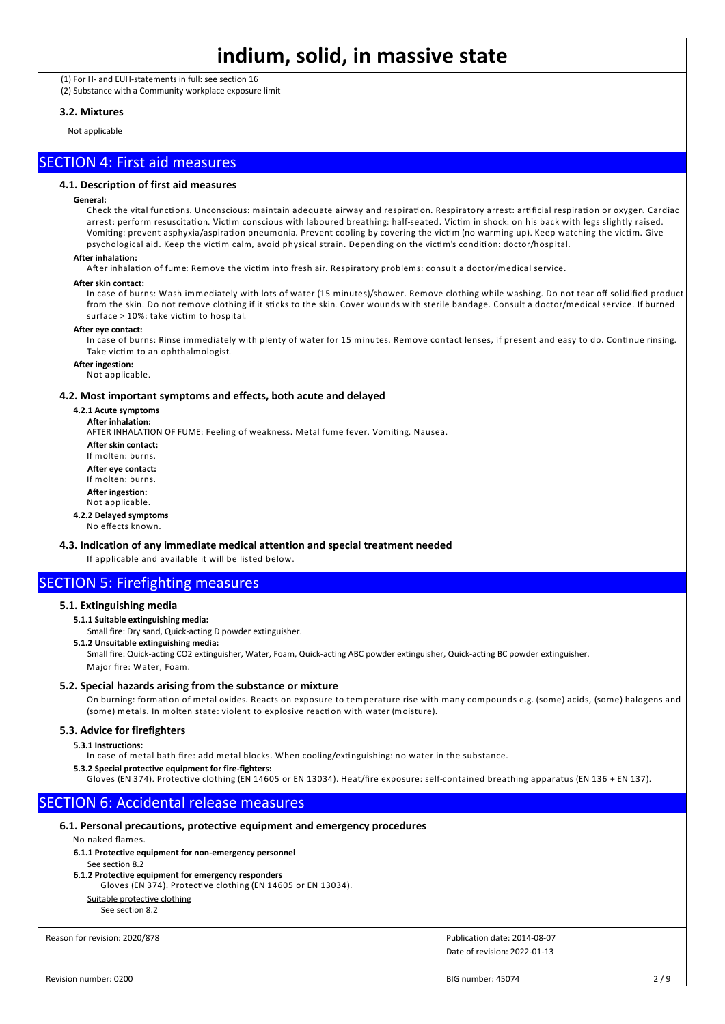(1) For H- and EUH-statements in full: see section 16 (2) Substance with a Community workplace exposure limit

#### **3.2. Mixtures**

Not applicable

#### SECTION 4: First aid measures

#### **4.1. Description of first aid measures**

#### **General:**

Check the vital functions. Unconscious: maintain adequate airway and respiration. Respiratory arrest: artificial respiration or oxygen. Cardiac arrest: perform resuscitation. Victim conscious with laboured breathing: half-seated. Victim in shock: on his back with legs slightly raised. Vomiting: prevent asphyxia/aspiration pneumonia. Prevent cooling by covering the victim (no warming up). Keep watching the victim. Give psychological aid. Keep the victim calm, avoid physical strain. Depending on the victim's condition: doctor/hospital.

#### **After inhalation:**

After inhalation of fume: Remove the victim into fresh air. Respiratory problems: consult a doctor/medical service.

#### **After skin contact:**

In case of burns: Wash immediately with lots of water (15 minutes)/shower. Remove clothing while washing. Do not tear off solidified product from the skin. Do not remove clothing if it sticks to the skin. Cover wounds with sterile bandage. Consult a doctor/medical service. If burned surface > 10%: take victim to hospital.

#### **After eye contact:**

In case of burns: Rinse immediately with plenty of water for 15 minutes. Remove contact lenses, if present and easy to do. Continue rinsing. Take victim to an ophthalmologist.

**After ingestion:**

Not applicable.

#### **4.2. Most important symptoms and effects, both acute and delayed**

**4.2.1 Acute symptoms**

**After inhalation:**

AFTER INHALATION OF FUME: Feeling of weakness. Metal fume fever. Vomiting. Nausea.

**After skin contact:** If molten: burns.

**After eye contact:** If molten: burns.

**After ingestion:**

Not applicable.

**4.2.2 Delayed symptoms** No effects known.

#### **4.3. Indication of any immediate medical attention and special treatment needed**

If applicable and available it will be listed below.

### SECTION 5: Firefighting measures

#### **5.1. Extinguishing media**

#### **5.1.1 Suitable extinguishing media:**

Small fire: Dry sand, Quick-acting D powder extinguisher.

**5.1.2 Unsuitable extinguishing media:**

Small fire: Quick-acting CO2 extinguisher, Water, Foam, Quick-acting ABC powder extinguisher, Quick-acting BC powder extinguisher. Major fire: Water, Foam.

#### **5.2. Special hazards arising from the substance or mixture**

On burning: formation of metal oxides. Reacts on exposure to temperature rise with many compounds e.g. (some) acids, (some) halogens and (some) metals. In molten state: violent to explosive reaction with water (moisture).

#### **5.3. Advice for firefighters**

**5.3.1 Instructions:**

In case of metal bath fire: add metal blocks. When cooling/extinguishing: no water in the substance.

#### **5.3.2 Special protective equipment for fire-fighters:**

Gloves (EN 374). Protective clothing (EN 14605 or EN 13034). Heat/fire exposure: self-contained breathing apparatus (EN 136 + EN 137).

#### SECTION 6: Accidental release measures

#### **6.1. Personal precautions, protective equipment and emergency procedures**

#### No naked flames.

**6.1.1 Protective equipment for non-emergency personnel**

See section 8.2

#### **6.1.2 Protective equipment for emergency responders**

Gloves (EN 374). Protective clothing (EN 14605 or EN 13034). Suitable protective clothing

#### See section 8.2

Reason for revision: 2020/878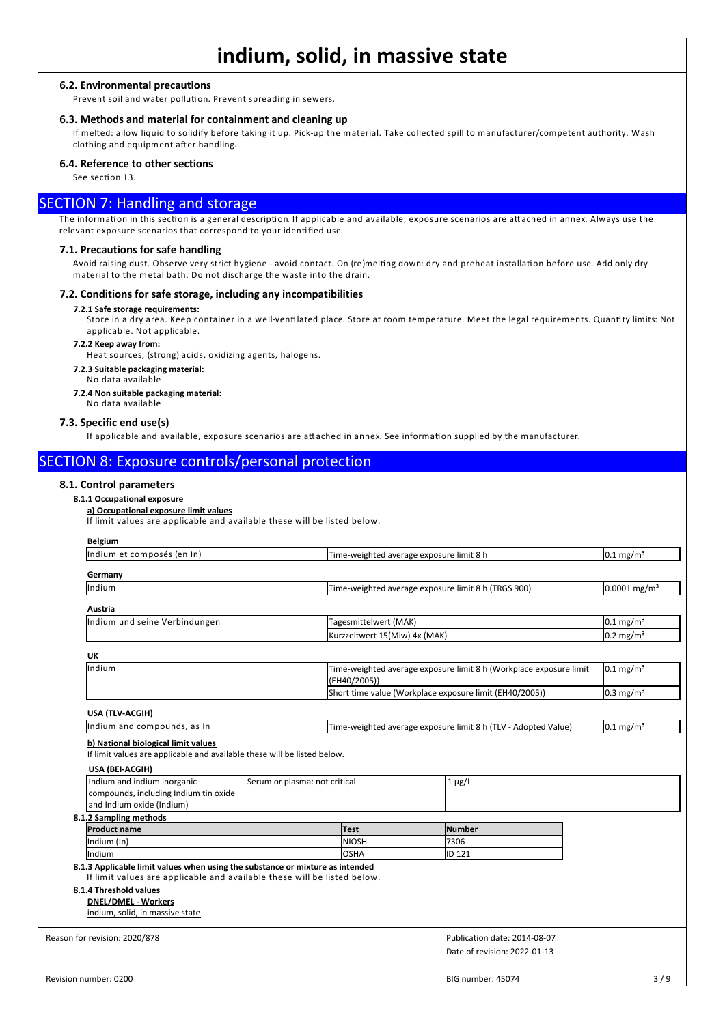#### **6.2. Environmental precautions**

Prevent soil and water pollution. Prevent spreading in sewers.

#### **6.3. Methods and material for containment and cleaning up**

If melted: allow liquid to solidify before taking it up. Pick-up the material. Take collected spill to manufacturer/competent authority. Wash clothing and equipment after handling.

#### **6.4. Reference to other sections**

See section 13.

#### SECTION 7: Handling and storage

The information in this section is a general description. If applicable and available, exposure scenarios are attached in annex. Always use the relevant exposure scenarios that correspond to your identified use.

#### **7.1. Precautions for safe handling**

Avoid raising dust. Observe very strict hygiene - avoid contact. On (re)melting down: dry and preheat installation before use. Add only dry material to the metal bath. Do not discharge the waste into the drain.

#### **7.2. Conditions for safe storage, including any incompatibilities**

#### **7.2.1 Safe storage requirements:**

Store in a dry area. Keep container in a well-ventilated place. Store at room temperature. Meet the legal requirements. Quantity limits: Not applicable. Not applicable.

#### **7.2.2 Keep away from:**

Heat sources, (strong) acids, oxidizing agents, halogens.

**7.2.3 Suitable packaging material:**

No data available

**7.2.4 Non suitable packaging material:** No data available

**7.3. Specific end use(s)**

If applicable and available, exposure scenarios are attached in annex. See information supplied by the manufacturer.

#### SECTION 8: Exposure controls/personal protection

#### **8.1. Control parameters**

#### **8.1.1 Occupational exposure**

#### **a) Occupational exposure limit values**

If lim it values are applicable and available these will be listed below.

| <b>Belgium</b>                                                                                                                                            |                               |                                          |                                                                |                                                                    |                            |
|-----------------------------------------------------------------------------------------------------------------------------------------------------------|-------------------------------|------------------------------------------|----------------------------------------------------------------|--------------------------------------------------------------------|----------------------------|
| Indium et composés (en In)                                                                                                                                |                               | Time-weighted average exposure limit 8 h |                                                                |                                                                    | $0.1 \text{ mg/m}^3$       |
| Germany                                                                                                                                                   |                               |                                          |                                                                |                                                                    |                            |
| Indium                                                                                                                                                    |                               |                                          | Time-weighted average exposure limit 8 h (TRGS 900)            |                                                                    | $0.0001$ mg/m <sup>3</sup> |
| Austria                                                                                                                                                   |                               |                                          |                                                                |                                                                    |                            |
| Indium und seine Verbindungen                                                                                                                             |                               | Tagesmittelwert (MAK)                    |                                                                |                                                                    | $0.1 \text{ mg/m}^3$       |
|                                                                                                                                                           |                               |                                          |                                                                |                                                                    | $0.2 \text{ mg/m}^3$       |
| UK                                                                                                                                                        |                               |                                          |                                                                |                                                                    |                            |
| Indium                                                                                                                                                    |                               |                                          |                                                                | Time-weighted average exposure limit 8 h (Workplace exposure limit | $0.1 \text{ mg/m}^3$       |
|                                                                                                                                                           |                               |                                          | Short time value (Workplace exposure limit (EH40/2005))        |                                                                    | $0.3 \text{ mg/m}^3$       |
| USA (TLV-ACGIH)                                                                                                                                           |                               |                                          |                                                                |                                                                    |                            |
| Indium and compounds, as In                                                                                                                               |                               |                                          | Time-weighted average exposure limit 8 h (TLV - Adopted Value) |                                                                    | $0.1 \text{ mg/m}^3$       |
| USA (BEI-ACGIH)<br>Indium and indium inorganic<br>compounds, including Indium tin oxide<br>and Indium oxide (Indium)                                      | Serum or plasma: not critical |                                          | $1 \mu g/L$                                                    |                                                                    |                            |
| 8.1.2 Sampling methods                                                                                                                                    |                               |                                          |                                                                |                                                                    |                            |
| <b>Product name</b>                                                                                                                                       |                               | <b>Test</b>                              | lNumber<br>7306                                                |                                                                    |                            |
| Indium (In)<br>Indium                                                                                                                                     |                               | <b>NIOSH</b><br>losha                    | ID 121                                                         |                                                                    |                            |
| 8.1.3 Applicable limit values when using the substance or mixture as intended<br>If limit values are applicable and available these will be listed below. |                               |                                          |                                                                |                                                                    |                            |
| 8.1.4 Threshold values<br><b>DNEL/DMEL - Workers</b><br>indium, solid, in massive state                                                                   |                               |                                          |                                                                |                                                                    |                            |
| Reason for revision: 2020/878                                                                                                                             |                               |                                          | Publication date: 2014-08-07                                   |                                                                    |                            |
|                                                                                                                                                           |                               |                                          | Date of revision: 2022-01-13                                   |                                                                    |                            |
|                                                                                                                                                           |                               |                                          |                                                                |                                                                    |                            |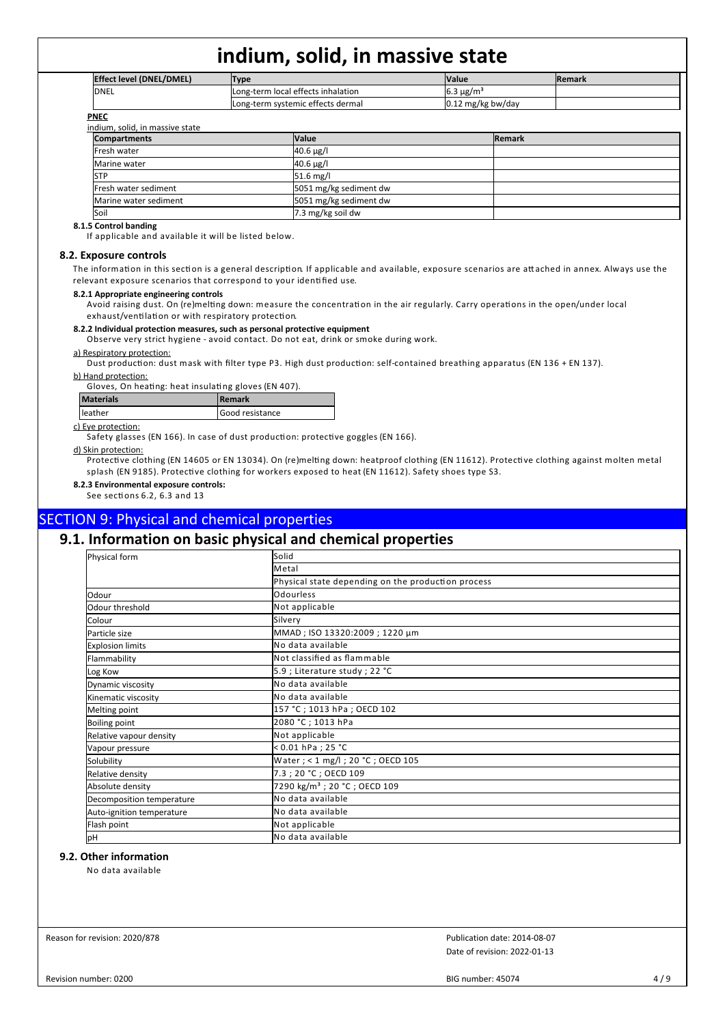| <b>Effect level (DNEL/DMEL)</b> | <b>Type</b>            | <b>Value</b>                       |                     |               | <b>Remark</b> |
|---------------------------------|------------------------|------------------------------------|---------------------|---------------|---------------|
| IDNEL                           |                        | Long-term local effects inhalation | $6.3 \mu g/m3$      |               |               |
|                                 |                        | Long-term systemic effects dermal  | $0.12$ mg/kg bw/day |               |               |
| <b>PNEC</b>                     |                        |                                    |                     |               |               |
| indium, solid, in massive state |                        |                                    |                     |               |               |
| <b>Compartments</b>             |                        | <b>Value</b>                       |                     | <b>Remark</b> |               |
| lFresh water                    |                        | $40.6 \,\mu g/l$                   |                     |               |               |
| Marine water                    |                        | $40.6 \,\mu g/l$                   |                     |               |               |
| <b>STP</b>                      |                        | $51.6$ mg/l                        |                     |               |               |
| Fresh water sediment            | 5051 mg/kg sediment dw |                                    |                     |               |               |
| Marine water sediment           |                        | 5051 mg/kg sediment dw             |                     |               |               |

#### Soil 7.3 mg/kg soil dw **8.1.5 Control banding**

If applicable and available it will be listed below.

#### **8.2. Exposure controls**

The information in this section is a general description. If applicable and available, exposure scenarios are attached in annex. Always use the relevant exposure scenarios that correspond to your identified use.

#### **8.2.1 Appropriate engineering controls**

Avoid raising dust. On (re)melting down: measure the concentration in the air regularly. Carry operations in the open/under local exhaust/ventilation or with respiratory protection.

#### **8.2.2 Individual protection measures, such as personal protective equipment**

Observe very strict hygiene - avoid contact. Do not eat, drink or smoke during work.

#### a) Respiratory protection:

Dust production: dust mask with filter type P3. High dust production: self-contained breathing apparatus (EN 136 + EN 137).

#### b) Hand protection:

Gloves, On heating: heat insulating gloves (EN 407).

| <b>Materials</b> | <b>I</b> Remark        |
|------------------|------------------------|
| leather          | <b>Good resistance</b> |
|                  |                        |

#### c) Eye protection:

Safety glasses (EN 166). In case of dust production: protective goggles (EN 166).

#### d) Skin protection:

Protective clothing (EN 14605 or EN 13034). On (re)melting down: heatproof clothing (EN 11612). Protective clothing against molten metal splash (EN 9185). Protective clothing for workers exposed to heat (EN 11612). Safety shoes type S3.

#### **8.2.3 Environmental exposure controls:**

See sections 6.2, 6.3 and 13

#### SECTION 9: Physical and chemical properties

### **9.1. Information on basic physical and chemical properties**

| Physical form             | Solid                                              |  |  |  |  |  |
|---------------------------|----------------------------------------------------|--|--|--|--|--|
|                           | lMetal                                             |  |  |  |  |  |
|                           | Physical state depending on the production process |  |  |  |  |  |
| Odour                     | Odourless                                          |  |  |  |  |  |
| Odour threshold           | Not applicable                                     |  |  |  |  |  |
| Colour                    | Silvery                                            |  |  |  |  |  |
| Particle size             | MMAD; ISO 13320:2009; 1220 µm                      |  |  |  |  |  |
| <b>Explosion limits</b>   | No data available                                  |  |  |  |  |  |
| Flammability              | Not classified as flammable                        |  |  |  |  |  |
| Log Kow                   | 5.9 ; Literature study ; 22 °C                     |  |  |  |  |  |
| Dynamic viscosity         | <b>I</b> No data available                         |  |  |  |  |  |
| Kinematic viscosity       | No data available                                  |  |  |  |  |  |
| Melting point             | 157 °C; 1013 hPa; OECD 102                         |  |  |  |  |  |
| <b>Boiling point</b>      | 2080 °C ; 1013 hPa                                 |  |  |  |  |  |
| Relative vapour density   | Not applicable                                     |  |  |  |  |  |
| Vapour pressure           | $< 0.01$ hPa ; 25 °C                               |  |  |  |  |  |
| Solubility                | Water ; < 1 mg/l ; 20 °C ; OECD 105                |  |  |  |  |  |
| Relative density          | 7.3; 20 °C; OECD 109                               |  |  |  |  |  |
| Absolute density          | 7290 kg/m <sup>3</sup> ; 20 °C ; OECD 109          |  |  |  |  |  |
| Decomposition temperature | No data available                                  |  |  |  |  |  |
| Auto-ignition temperature | No data available                                  |  |  |  |  |  |
| Flash point               | Not applicable                                     |  |  |  |  |  |
| pH                        | No data available                                  |  |  |  |  |  |

#### **9.2. Other information**

No data available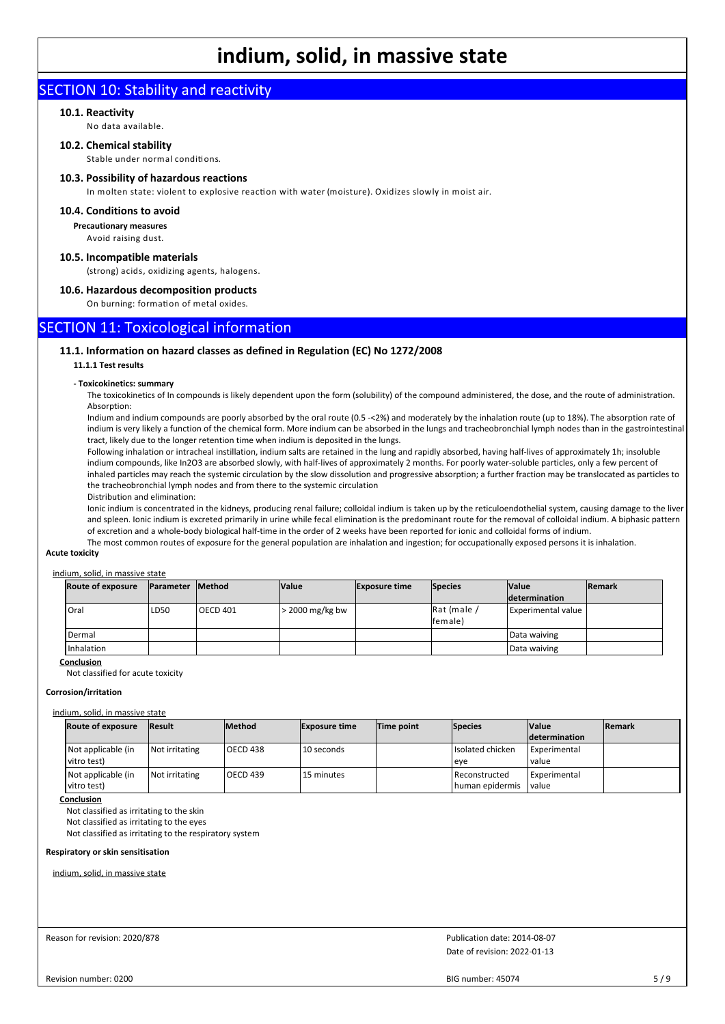### SECTION 10: Stability and reactivity

#### **10.1. Reactivity**

No data available.

#### **10.2. Chemical stability**

Stable under normal conditions.

#### **10.3. Possibility of hazardous reactions**

In molten state: violent to explosive reaction with water (moisture). Oxidizes slowly in moist air.

#### **10.4. Conditions to avoid**

**Precautionary measures**

Avoid raising dust.

#### **10.5. Incompatible materials**

(strong) acids, oxidizing agents, halogens.

#### **10.6. Hazardous decomposition products**

On burning: formation of metal oxides.

#### SECTION 11: Toxicological information

#### **11.1. Information on hazard classes as defined in Regulation (EC) No 1272/2008**

#### **11.1.1 Test results**

#### **- Toxicokinetics: summary**

The toxicokinetics of In compounds is likely dependent upon the form (solubility) of the compound administered, the dose, and the route of administration. Absorption:

Indium and indium compounds are poorly absorbed by the oral route (0.5 -<2%) and moderately by the inhalation route (up to 18%). The absorption rate of indium is very likely a function of the chemical form. More indium can be absorbed in the lungs and tracheobronchial lymph nodes than in the gastrointestinal tract, likely due to the longer retention time when indium is deposited in the lungs.

Following inhalation or intracheal instillation, indium salts are retained in the lung and rapidly absorbed, having half-lives of approximately 1h; insoluble indium compounds, like In2O3 are absorbed slowly, with half-lives of approximately 2 months. For poorly water-soluble particles, only a few percent of inhaled particles may reach the systemic circulation by the slow dissolution and progressive absorption; a further fraction may be translocated as particles to the tracheobronchial lymph nodes and from there to the systemic circulation

Distribution and elimination:

Ionic indium is concentrated in the kidneys, producing renal failure; colloidal indium is taken up by the reticuloendothelial system, causing damage to the liver and spleen. Ionic indium is excreted primarily in urine while fecal elimination is the predominant route for the removal of colloidal indium. A biphasic pattern of excretion and a whole-body biological half-time in the order of 2 weeks have been reported for ionic and colloidal forms of indium. The most common routes of exposure for the general population are inhalation and ingestion; for occupationally exposed persons it is inhalation.

#### **Acute toxicity**

#### indium, solid, in massive state

| <b>Route of exposure</b> | <b>Parameter</b> | <b>Method</b>   | <b>Value</b>      | <b>Exposure time</b> | Species                | <b>Value</b>         | <b>IRemark</b> |
|--------------------------|------------------|-----------------|-------------------|----------------------|------------------------|----------------------|----------------|
|                          |                  |                 |                   |                      |                        | <b>determination</b> |                |
| Oral                     | LD50             | <b>OECD 401</b> | $>$ 2000 mg/kg bw |                      | Rat (male /<br>female) | Experimental value   |                |
| Dermal                   |                  |                 |                   |                      |                        | Data waiving         |                |
| Inhalation               |                  |                 |                   |                      |                        | Data waiving         |                |

#### **Conclusion**

Not classified for acute toxicity

#### **Corrosion/irritation**

#### indium, solid, in massive state

| <b>Route of exposure</b>            | <b>Result</b>  | <b>Method</b> | <b>Exposure time</b> | Time point | <b>Species</b>                            | <b>Value</b>                 | <b>IRemark</b> |
|-------------------------------------|----------------|---------------|----------------------|------------|-------------------------------------------|------------------------------|----------------|
|                                     |                |               |                      |            |                                           | <b>determination</b>         |                |
| Not applicable (in<br>l vitro test) | Not irritating | loecd 438     | 10 seconds           |            | Isolated chicken<br>leve                  | Experimental<br><b>value</b> |                |
| Not applicable (in<br>l vitro test) | Not irritating | l OECD 439    | 15 minutes           |            | <b>Reconstructed</b><br>I human epidermis | Experimental<br>value        |                |

#### **Conclusion**

Not classified as irritating to the skin

Not classified as irritating to the eyes

Not classified as irritating to the respiratory system

#### **Respiratory or skin sensitisation**

indium, solid, in massive state

#### Reason for revision: 2020/878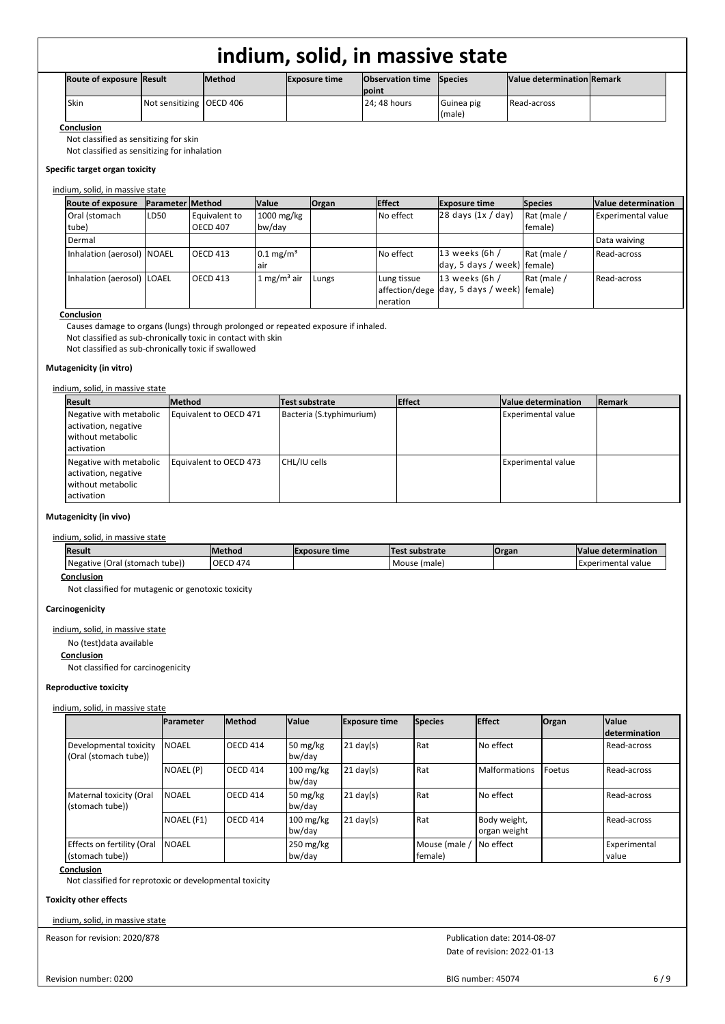| <b>Route of exposure Result</b> |                            | <b>Method</b> | <b>Exposure time</b> | <b>Observation time</b> Species<br><b>Ipoint</b> |                      | Value determination Remark |  |
|---------------------------------|----------------------------|---------------|----------------------|--------------------------------------------------|----------------------|----------------------------|--|
| Skin                            | Not sensitizing   OECD 406 |               |                      | 24: 48 hours                                     | Guinea pig<br>(male) | Read-across                |  |

**Conclusion**

Not classified as sensitizing for skin

Not classified as sensitizing for inhalation

#### **Specific target organ toxicity**

#### indium, solid, in massive state

| <b>Route of exposure</b>     | <b>Parameter Method</b> |                 | <b>Value</b>            | Organ | <b>Effect</b> | <b>Exposure time</b>                       | <b>Species</b> | Value determination       |
|------------------------------|-------------------------|-----------------|-------------------------|-------|---------------|--------------------------------------------|----------------|---------------------------|
| Oral (stomach                | LD50                    | Equivalent to   | 1000 mg/kg              |       | No effect     | $28$ days $(1x / day)$                     | Rat (male /    | <b>Experimental value</b> |
| tube)                        |                         | <b>OECD 407</b> | bw/day                  |       |               |                                            | female)        |                           |
| Dermal                       |                         |                 |                         |       |               |                                            |                | Data waiving              |
| Inhalation (aerosol) NOAEL   |                         | <b>OECD 413</b> | $0.1 \text{ mg/m}^3$    |       | No effect     | $13$ weeks (6h /                           | Rat (male /    | Read-across               |
|                              |                         |                 | lair                    |       |               | day, 5 days / week) female)                |                |                           |
| Inhalation (aerosol)   LOAEL |                         | <b>OECD 413</b> | 1 mg/m <sup>3</sup> air | Lungs | Lung tissue   | $13$ weeks (6h /                           | Rat (male /    | Read-across               |
|                              |                         |                 |                         |       |               | affection/dege day, 5 days / week) female) |                |                           |
|                              |                         |                 |                         |       | neration      |                                            |                |                           |

#### **Conclusion**

Causes damage to organs (lungs) through prolonged or repeated exposure if inhaled.

Not classified as sub-chronically toxic in contact with skin

Not classified as sub-chronically toxic if swallowed

#### **Mutagenicity (in vitro)**

#### indium, solid, in massive state

| <b>Result</b>                                                                          | lMethod                | Test substrate           | <b>Effect</b> | Value determination | Remark |
|----------------------------------------------------------------------------------------|------------------------|--------------------------|---------------|---------------------|--------|
| Negative with metabolic<br>activation, negative<br>l without metabolic<br>l activation | Equivalent to OECD 471 | Bacteria (S.typhimurium) |               | Experimental value  |        |
| Negative with metabolic<br>activation, negative<br>l without metabolic<br>l activation | Equivalent to OECD 473 | CHL/IU cells             |               | Experimental value  |        |

#### **Mutagenicity (in vivo)**

#### indium, solid, in massive state

| <b>Result</b>                          | <b>IMethod</b>  | <b>IExposure time</b> | Test substrate | <b>Organ</b> | Value determination |
|----------------------------------------|-----------------|-----------------------|----------------|--------------|---------------------|
| Negative<br>. (Oral (stomach<br>tube). | <b>OECD 474</b> |                       | I Mouse (male) |              | Experimental value  |

**Conclusion**

Not classified for mutagenic or genotoxic toxicity

#### **Carcinogenicity**

indium, solid, in massive state

No (test)data available

#### **Conclusion**

Not classified for carcinogenicity

#### **Reproductive toxicity**

#### indium, solid, in massive state

|                                                 | <b>IParameter</b> | <b>IMethod</b>  | <b>Value</b>                  | <b>Exposure time</b> | Species                  | <b>Effect</b>                | Organ    | <b>Value</b><br><b>Idetermination</b> |
|-------------------------------------------------|-------------------|-----------------|-------------------------------|----------------------|--------------------------|------------------------------|----------|---------------------------------------|
| Developmental toxicity<br>(Oral (stomach tube)) | <b>NOAEL</b>      | <b>OECD 414</b> | 50 mg/kg<br>bw/day            | $21$ day(s)          | l Rat                    | No effect                    |          | Read-across                           |
|                                                 | NOAEL (P)         | <b>OECD 414</b> | 100 mg/kg<br>bw/day           | $21$ day(s)          | l Rat                    | <b>Malformations</b>         | l Foetus | Read-across                           |
| Maternal toxicity (Oral<br>(stomach tube))      | <b>NOAEL</b>      | <b>OECD 414</b> | 50 mg/kg<br>bw/day            | $21$ day(s)          | l Rat                    | l No effect                  |          | Read-across                           |
|                                                 | NOAEL (F1)        | <b>OECD 414</b> | $100$ mg/kg<br>bw/day         | $21$ day(s)          | l Rat                    | Body weight,<br>organ weight |          | Read-across                           |
| Effects on fertility (Oral<br>(stomach tube))   | l NOAEL           |                 | $250 \text{ mg/kg}$<br>bw/day |                      | Mouse (male /<br>female) | I No effect                  |          | <b>Experimental</b><br>l value        |

#### **Conclusion**

Not classified for reprotoxic or developmental toxicity

#### **Toxicity other effects**

indium, solid, in massive state

Reason for revision: 2020/878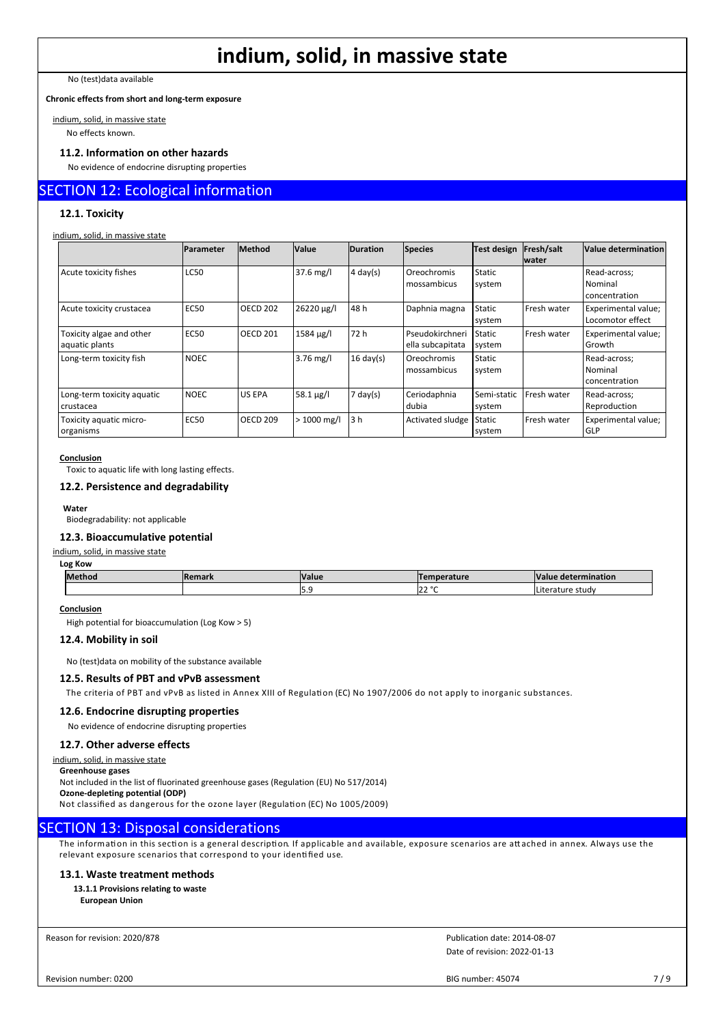No (test)data available

**Chronic effects from short and long-term exposure**

indium, solid, in massive state

No effects known.

#### **11.2. Information on other hazards**

No evidence of endocrine disrupting properties

#### SECTION 12: Ecological information

#### **12.1. Toxicity**

#### indium, solid, in massive state

|                                            | Parameter   | <b>Method</b>   | <b>Value</b>     | <b>Duration</b>     | Species                             | Test design             | Fresh/salt<br><b>Iwater</b> | Value determination                      |
|--------------------------------------------|-------------|-----------------|------------------|---------------------|-------------------------------------|-------------------------|-----------------------------|------------------------------------------|
| Acute toxicity fishes                      | <b>LC50</b> |                 | $37.6$ mg/l      | $4 \text{ day}(s)$  | Oreochromis<br>mossambicus          | <b>Static</b><br>system |                             | Read-across;<br>Nominal<br>concentration |
| Acute toxicity crustacea                   | <b>EC50</b> | <b>OECD 202</b> | 26220 µg/l       | 48 h                | Daphnia magna                       | Static<br>system        | Fresh water                 | Experimental value;<br>Locomotor effect  |
| Toxicity algae and other<br>aquatic plants | <b>EC50</b> | <b>OECD 201</b> | 1584 µg/l        | 72 h                | Pseudokirchneri<br>ella subcapitata | Static<br>system        | Fresh water                 | Experimental value;<br>Growth            |
| Long-term toxicity fish                    | <b>NOEC</b> |                 | $3.76$ mg/l      | $16 \text{ day(s)}$ | Oreochromis<br>mossambicus          | Static<br>system        |                             | Read-across;<br>Nominal<br>concentration |
| Long-term toxicity aquatic<br>crustacea    | <b>NOEC</b> | <b>US EPA</b>   | $58.1 \,\mu g/l$ | $7 \text{ day}(s)$  | Ceriodaphnia<br>dubia               | Semi-static<br>system   | Fresh water                 | Read-across:<br>Reproduction             |
| Toxicity aquatic micro-<br>organisms       | <b>EC50</b> | <b>OECD 209</b> | $>1000$ mg/l     | 13h                 | Activated sludge                    | Static<br>system        | Fresh water                 | Experimental value;<br><b>GLP</b>        |

#### **Conclusion**

Toxic to aquatic life with long lasting effects.

#### **12.2. Persistence and degradability**

**Water** Biodegradability: not applicable

#### **12.3. Bioaccumulative potential**

#### indium, solid, in massive state

| <b>Methoo</b> | <b>IRemark</b> | <b>Value</b> | mperature    | Value<br>ermination<br>` det⊾ |
|---------------|----------------|--------------|--------------|-------------------------------|
|               |                | .            | 2222<br>14 C | ature study                   |

#### **Conclusion**

High potential for bioaccumulation (Log Kow > 5)

#### **12.4. Mobility in soil**

No (test)data on mobility of the substance available

#### **12.5. Results of PBT and vPvB assessment**

The criteria of PBT and vPvB as listed in Annex XIII of Regulation (EC) No 1907/2006 do not apply to inorganic substances.

#### **12.6. Endocrine disrupting properties**

No evidence of endocrine disrupting properties

#### **12.7. Other adverse effects**

indium, solid, in massive state

**Greenhouse gases**

Not included in the list of fluorinated greenhouse gases (Regulation (EU) No 517/2014) **Ozone-depleting potential (ODP)** Not classified as dangerous for the ozone layer (Regulation (EC) No 1005/2009)

#### SECTION 13: Disposal considerations

The information in this section is a general description. If applicable and available, exposure scenarios are attached in annex. Always use the relevant exposure scenarios that correspond to your identified use.

#### **13.1. Waste treatment methods**

**13.1.1 Provisions relating to waste European Union**

Reason for revision: 2020/878

Date of revision: 2022-01-13 Publication date: 2014-08-07

Revision number: 0200

BIG number: 45074 7/9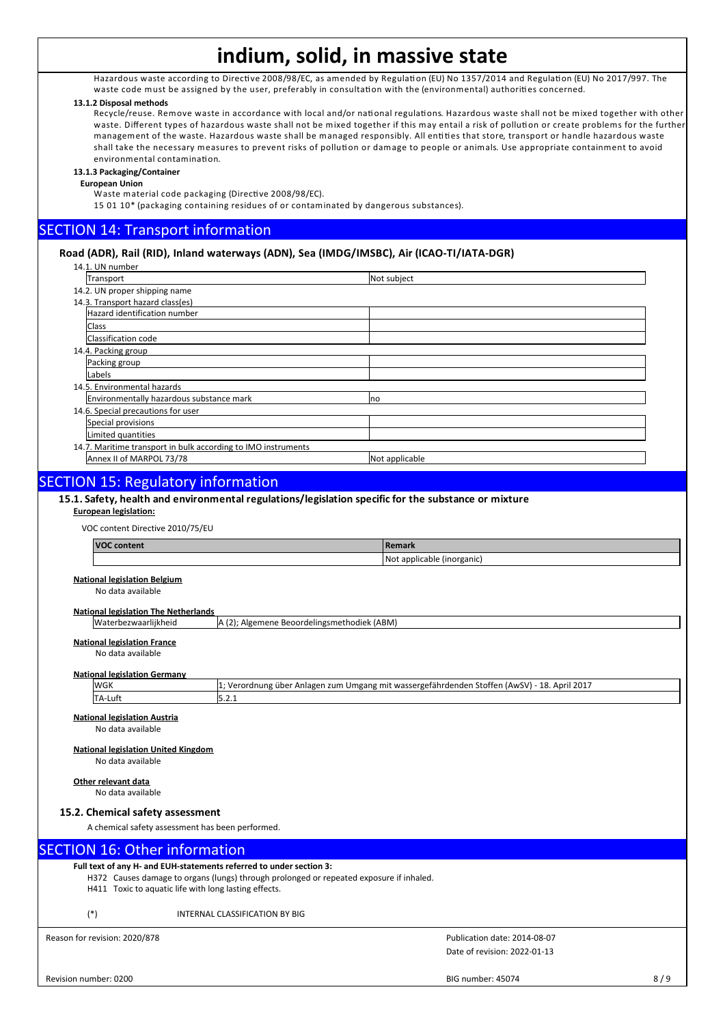Hazardous waste according to Directive 2008/98/EC, as amended by Regulation (EU) No 1357/2014 and Regulation (EU) No 2017/997. The waste code must be assigned by the user, preferably in consultation with the (environmental) authorities concerned.

#### **13.1.2 Disposal methods**

Recycle/reuse. Remove waste in accordance with local and/or national regulations. Hazardous waste shall not be mixed together with other waste. Different types of hazardous waste shall not be mixed together if this may entail a risk of pollution or create problems for the further management of the waste. Hazardous waste shall be managed responsibly. All entities that store, transport or handle hazardous waste shall take the necessary measures to prevent risks of pollution or damage to people or animals. Use appropriate containment to avoid environmental contamination.

#### **13.1.3 Packaging/Container**

**European Union**

Waste material code packaging (Directive 2008/98/EC).

15 01 10\* (packaging containing residues of or contaminated by dangerous substances).

### SECTION 14: Transport information

#### **Road (ADR), Rail (RID), Inland waterways (ADN), Sea (IMDG/IMSBC), Air (ICAO-TI/IATA-DGR)**

14.1. UN number

| 14.1. UN HUHIDEI                                              |                |
|---------------------------------------------------------------|----------------|
| Transport                                                     | Not subject    |
| 14.2. UN proper shipping name                                 |                |
| 14.3. Transport hazard class(es)                              |                |
| Hazard identification number                                  |                |
| <b>Class</b>                                                  |                |
| Classification code                                           |                |
| 14.4. Packing group                                           |                |
| Packing group                                                 |                |
| Labels                                                        |                |
| 14.5. Environmental hazards                                   |                |
| Environmentally hazardous substance mark                      | Ino            |
| 14.6. Special precautions for user                            |                |
| Special provisions                                            |                |
| Limited quantities                                            |                |
| 14.7. Maritime transport in bulk according to IMO instruments |                |
| Annex II of MARPOL 73/78                                      | Not applicable |
|                                                               |                |

### SECTION 15: Regulatory information

#### **15.1. Safety, health and environmental regulations/legislation specific for the substance or mixture**

#### **European legislation:**

VOC content Directive 2010/75/EU

| <b>VOC content</b>                          |                                             | l Remark                                                                                     |
|---------------------------------------------|---------------------------------------------|----------------------------------------------------------------------------------------------|
|                                             |                                             | Not applicable (inorganic)                                                                   |
| <b>National legislation Belgium</b>         |                                             |                                                                                              |
| No data available                           |                                             |                                                                                              |
|                                             |                                             |                                                                                              |
| <b>National legislation The Netherlands</b> |                                             |                                                                                              |
| Waterbezwaarlijkheid                        | A (2); Algemene Beoordelingsmethodiek (ABM) |                                                                                              |
| <b>National legislation France</b>          |                                             |                                                                                              |
| No data available                           |                                             |                                                                                              |
|                                             |                                             |                                                                                              |
| <b>National legislation Germany</b>         |                                             |                                                                                              |
| lwgk                                        |                                             | 1; Verordnung über Anlagen zum Umgang mit wassergefährdenden Stoffen (AwSV) - 18. April 2017 |
| TA-Luft                                     | 5.2.1                                       |                                                                                              |
| <b>National legislation Austria</b>         |                                             |                                                                                              |
|                                             |                                             |                                                                                              |
| No data available                           |                                             |                                                                                              |

#### **National legislation United Kingdom**

No data available

#### **Other relevant data**

No data available

#### **15.2. Chemical safety assessment**

A chemical safety assessment has been performed.

#### SECTION 16: Other information

**Full text of any H- and EUH-statements referred to under section 3:** H372 Causes damage to organs (lungs) through prolonged or repeated exposure if inhaled.

H411 Toxic to aquatic life with long lasting effects.

(\*) INTERNAL CLASSIFICATION BY BIG

Reason for revision: 2020/878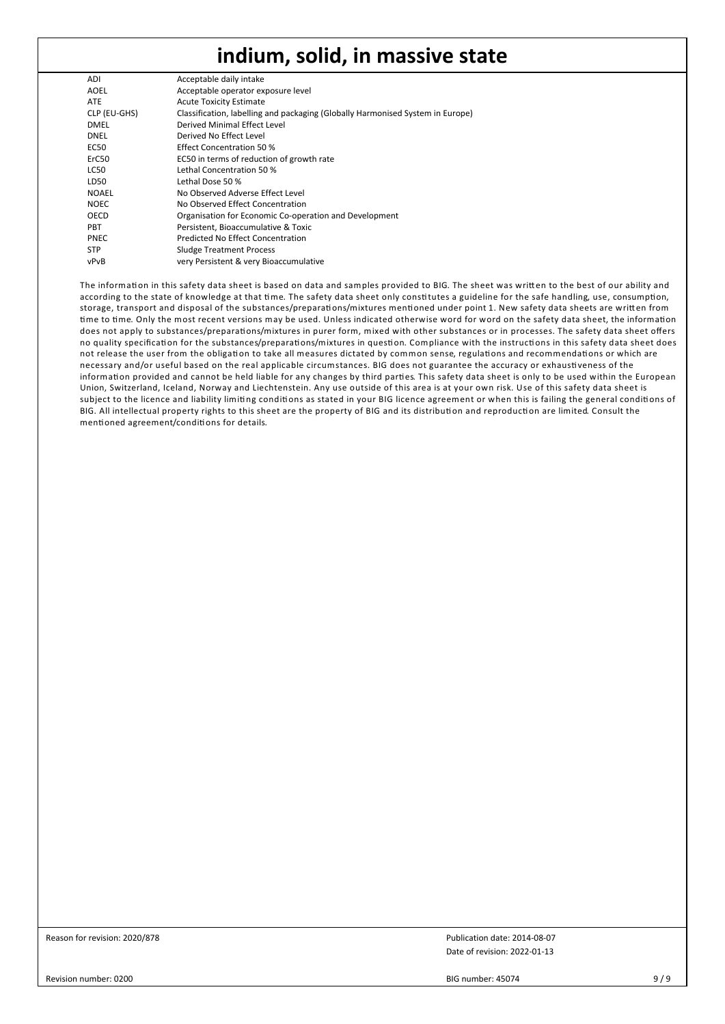| ADI          | Acceptable daily intake                                                        |
|--------------|--------------------------------------------------------------------------------|
| <b>AOEL</b>  | Acceptable operator exposure level                                             |
| <b>ATE</b>   | <b>Acute Toxicity Estimate</b>                                                 |
| CLP (EU-GHS) | Classification, labelling and packaging (Globally Harmonised System in Europe) |
| <b>DMEL</b>  | Derived Minimal Effect Level                                                   |
| DNEL         | Derived No Effect Level                                                        |
| EC50         | Effect Concentration 50 %                                                      |
| ErC50        | EC50 in terms of reduction of growth rate                                      |
| LC50         | Lethal Concentration 50 %                                                      |
| LD50         | Lethal Dose 50 %                                                               |
| <b>NOAEL</b> | No Observed Adverse Effect Level                                               |
| <b>NOEC</b>  | No Observed Effect Concentration                                               |
| OECD         | Organisation for Economic Co-operation and Development                         |
| <b>PBT</b>   | Persistent, Bioaccumulative & Toxic                                            |
| <b>PNEC</b>  | Predicted No Effect Concentration                                              |
| <b>STP</b>   | <b>Sludge Treatment Process</b>                                                |
| vPvB         | very Persistent & very Bioaccumulative                                         |
|              |                                                                                |

The information in this safety data sheet is based on data and samples provided to BIG. The sheet was written to the best of our ability and according to the state of knowledge at that time. The safety data sheet only constitutes a guideline for the safe handling, use, consumption, storage, transport and disposal of the substances/preparations/mixtures mentioned under point 1. New safety data sheets are written from time to time. Only the most recent versions may be used. Unless indicated otherwise word for word on the safety data sheet, the information does not apply to substances/preparations/mixtures in purer form, mixed with other substances or in processes. The safety data sheet offers no quality specification for the substances/preparations/mixtures in question. Compliance with the instructions in this safety data sheet does not release the user from the obligation to take all measures dictated by common sense, regulations and recommendations or which are necessary and/or useful based on the real applicable circumstances. BIG does not guarantee the accuracy or exhaustiveness of the information provided and cannot be held liable for any changes by third parties. This safety data sheet is only to be used within the European Union, Switzerland, Iceland, Norway and Liechtenstein. Any use outside of this area is at your own risk. Use of this safety data sheet is subject to the licence and liability limiting conditions as stated in your BIG licence agreement or when this is failing the general conditions of BIG. All intellectual property rights to this sheet are the property of BIG and its distribution and reproduction are limited. Consult the mentioned agreement/conditions for details.

Reason for revision: 2020/878

Date of revision: 2022-01-13 Publication date: 2014-08-07

Revision number: 0200

BIG number: 45074 9/9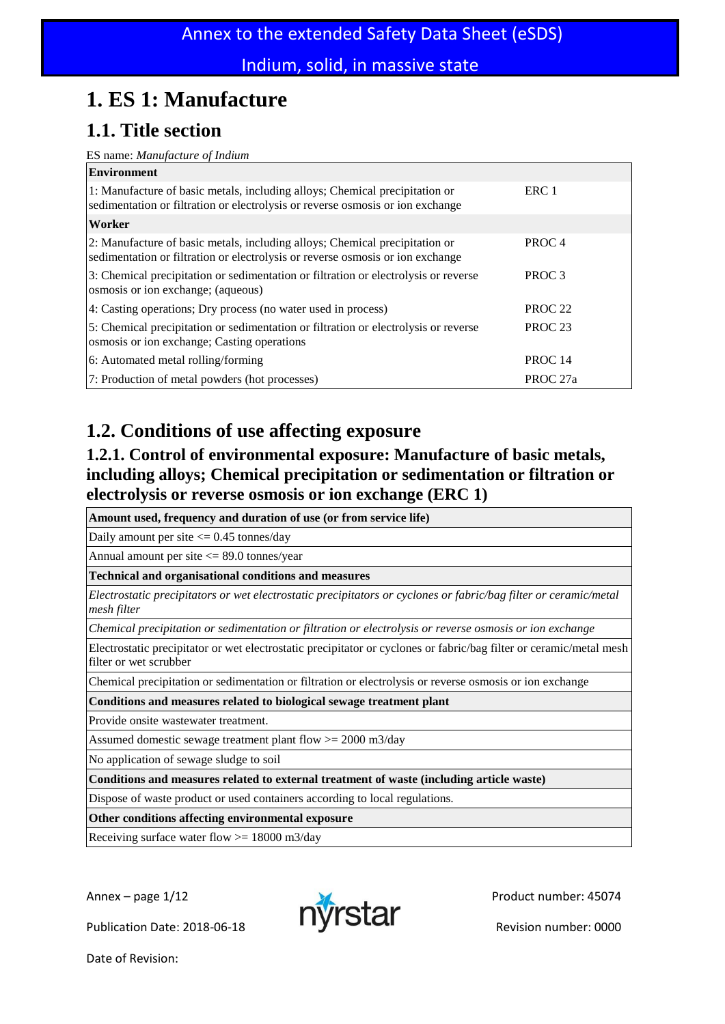# **1. ES 1: Manufacture**

## **1.1. Title section**

#### ES name: *Manufacture of Indium*

| <b>Environment</b>                                                                                                                                            |                    |
|---------------------------------------------------------------------------------------------------------------------------------------------------------------|--------------------|
| 1: Manufacture of basic metals, including alloys; Chemical precipitation or<br>sedimentation or filtration or electrolysis or reverse osmosis or ion exchange | ERC 1              |
| Worker                                                                                                                                                        |                    |
| 2: Manufacture of basic metals, including alloys; Chemical precipitation or<br>sedimentation or filtration or electrolysis or reverse osmosis or ion exchange | PROC <sub>4</sub>  |
| 3: Chemical precipitation or sedimentation or filtration or electrolysis or reverse<br>osmosis or ion exchange; (aqueous)                                     | PROC <sub>3</sub>  |
| 4: Casting operations; Dry process (no water used in process)                                                                                                 | PROC <sub>22</sub> |
| 5: Chemical precipitation or sedimentation or filtration or electrolysis or reverse<br>osmosis or ion exchange; Casting operations                            | PROC <sub>23</sub> |
| 6: Automated metal rolling/forming                                                                                                                            | PROC <sub>14</sub> |
| 7: Production of metal powders (hot processes)                                                                                                                | PROC 27a           |

## **1.2. Conditions of use affecting exposure**

### **1.2.1. Control of environmental exposure: Manufacture of basic metals, including alloys; Chemical precipitation or sedimentation or filtration or electrolysis or reverse osmosis or ion exchange (ERC 1)**

**Amount used, frequency and duration of use (or from service life)**

Daily amount per site <= 0.45 tonnes/day

Annual amount per site  $\leq$  89.0 tonnes/year

**Technical and organisational conditions and measures**

*Electrostatic precipitators or wet electrostatic precipitators or cyclones or fabric/bag filter or ceramic/metal mesh filter*

*Chemical precipitation or sedimentation or filtration or electrolysis or reverse osmosis or ion exchange*

Electrostatic precipitator or wet electrostatic precipitator or cyclones or fabric/bag filter or ceramic/metal mesh filter or wet scrubber

Chemical precipitation or sedimentation or filtration or electrolysis or reverse osmosis or ion exchange

**Conditions and measures related to biological sewage treatment plant**

Provide onsite wastewater treatment.

Assumed domestic sewage treatment plant flow  $>= 2000 \text{ m}^2/\text{day}$ 

No application of sewage sludge to soil

**Conditions and measures related to external treatment of waste (including article waste)**

Dispose of waste product or used containers according to local regulations.

**Other conditions affecting environmental exposure**

Receiving surface water flow >= 18000 m3/day

Publication Date: 2018-06-18 **Publication Date: 2018-06-18** 

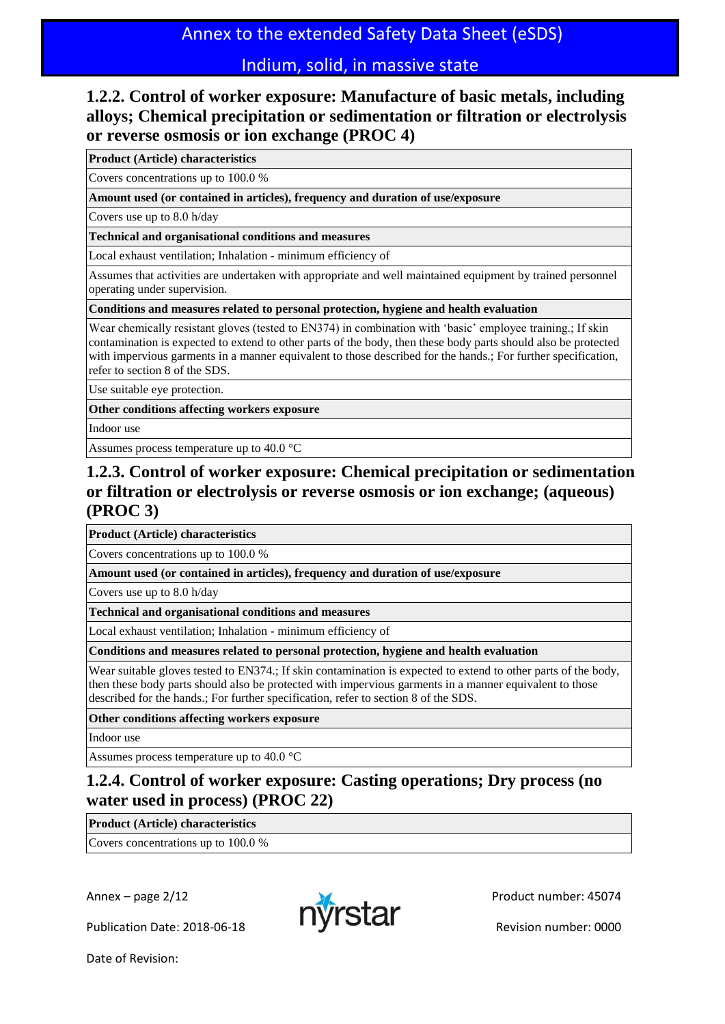### **1.2.2. Control of worker exposure: Manufacture of basic metals, including alloys; Chemical precipitation or sedimentation or filtration or electrolysis or reverse osmosis or ion exchange (PROC 4)**

**Product (Article) characteristics**

Covers concentrations up to 100.0 %

**Amount used (or contained in articles), frequency and duration of use/exposure**

Covers use up to 8.0 h/day

**Technical and organisational conditions and measures**

Local exhaust ventilation; Inhalation - minimum efficiency of

Assumes that activities are undertaken with appropriate and well maintained equipment by trained personnel operating under supervision.

**Conditions and measures related to personal protection, hygiene and health evaluation**

Wear chemically resistant gloves (tested to EN374) in combination with 'basic' employee training.; If skin contamination is expected to extend to other parts of the body, then these body parts should also be protected with impervious garments in a manner equivalent to those described for the hands.; For further specification, refer to section 8 of the SDS.

Use suitable eye protection.

**Other conditions affecting workers exposure**

Indoor use

Assumes process temperature up to 40.0 °C

### **1.2.3. Control of worker exposure: Chemical precipitation or sedimentation or filtration or electrolysis or reverse osmosis or ion exchange; (aqueous) (PROC 3)**

**Product (Article) characteristics**

Covers concentrations up to 100.0 %

**Amount used (or contained in articles), frequency and duration of use/exposure**

Covers use up to 8.0 h/day

**Technical and organisational conditions and measures**

Local exhaust ventilation; Inhalation - minimum efficiency of

**Conditions and measures related to personal protection, hygiene and health evaluation**

Wear suitable gloves tested to EN374.; If skin contamination is expected to extend to other parts of the body, then these body parts should also be protected with impervious garments in a manner equivalent to those described for the hands.; For further specification, refer to section 8 of the SDS.

**Other conditions affecting workers exposure**

Indoor use

Assumes process temperature up to 40.0 °C

### **1.2.4. Control of worker exposure: Casting operations; Dry process (no water used in process) (PROC 22)**

**Product (Article) characteristics**

Covers concentrations up to 100.0 %

Publication Date: 2018-06-18 **Publication Date: 2018-06-18** 

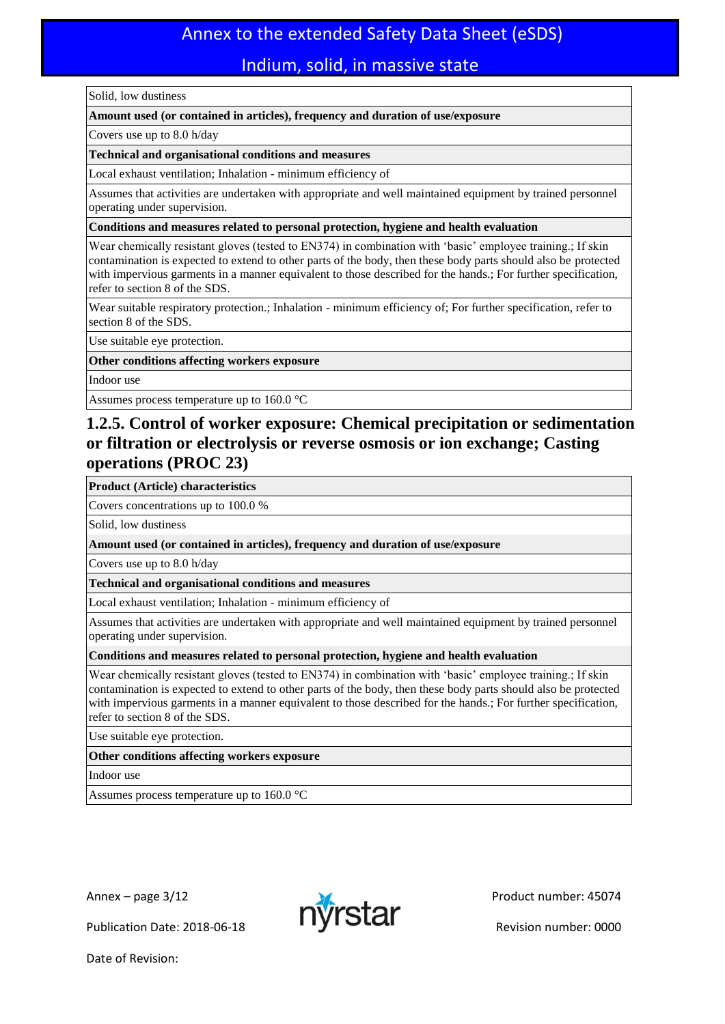## Annex to the extended Safety Data Sheet (eSDS)

### Indium, solid, in massive state

#### Solid, low dustiness

#### **Amount used (or contained in articles), frequency and duration of use/exposure**

Covers use up to 8.0 h/day

#### **Technical and organisational conditions and measures**

Local exhaust ventilation; Inhalation - minimum efficiency of

Assumes that activities are undertaken with appropriate and well maintained equipment by trained personnel operating under supervision.

**Conditions and measures related to personal protection, hygiene and health evaluation**

Wear chemically resistant gloves (tested to EN374) in combination with 'basic' employee training.; If skin contamination is expected to extend to other parts of the body, then these body parts should also be protected with impervious garments in a manner equivalent to those described for the hands.; For further specification, refer to section 8 of the SDS.

Wear suitable respiratory protection.; Inhalation - minimum efficiency of; For further specification, refer to section 8 of the SDS.

Use suitable eye protection.

**Other conditions affecting workers exposure**

Indoor use

Assumes process temperature up to 160.0 °C

### **1.2.5. Control of worker exposure: Chemical precipitation or sedimentation or filtration or electrolysis or reverse osmosis or ion exchange; Casting operations (PROC 23)**

#### **Product (Article) characteristics**

Covers concentrations up to 100.0 %

Solid, low dustiness

#### **Amount used (or contained in articles), frequency and duration of use/exposure**

Covers use up to 8.0 h/day

**Technical and organisational conditions and measures**

Local exhaust ventilation; Inhalation - minimum efficiency of

Assumes that activities are undertaken with appropriate and well maintained equipment by trained personnel operating under supervision.

#### **Conditions and measures related to personal protection, hygiene and health evaluation**

Wear chemically resistant gloves (tested to EN374) in combination with 'basic' employee training.; If skin contamination is expected to extend to other parts of the body, then these body parts should also be protected with impervious garments in a manner equivalent to those described for the hands.; For further specification, refer to section 8 of the SDS.

Use suitable eye protection.

**Other conditions affecting workers exposure**

Indoor use

Assumes process temperature up to  $160.0$  °C

Publication Date: 2018-06-18 **Publication Date: 2018-06-18** 

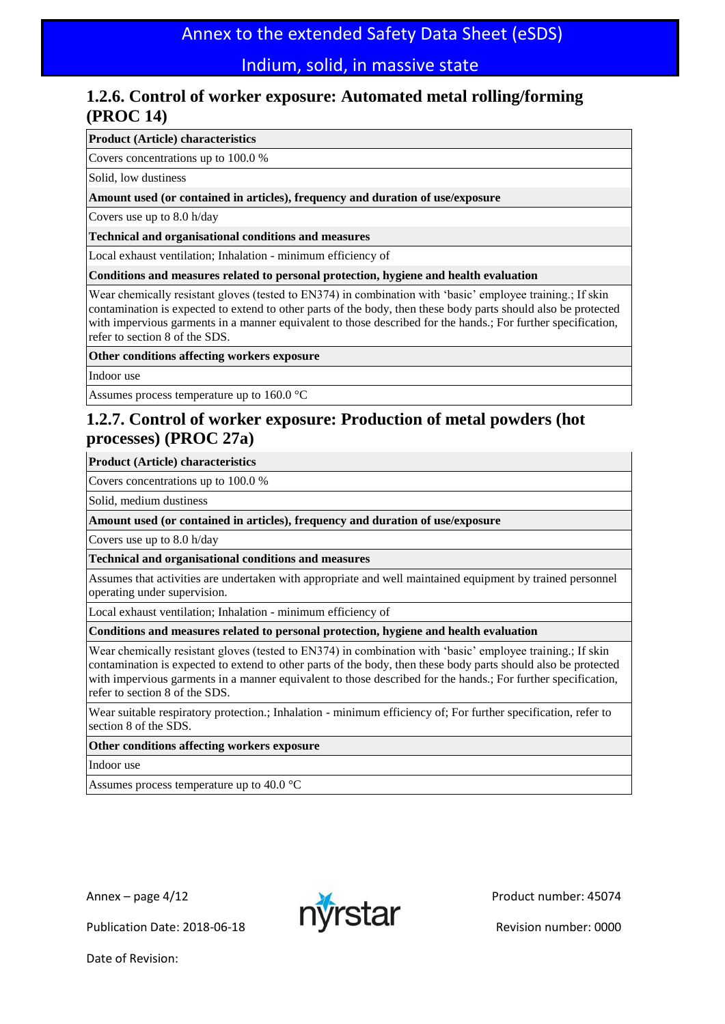### **1.2.6. Control of worker exposure: Automated metal rolling/forming (PROC 14)**

#### **Product (Article) characteristics**

Covers concentrations up to 100.0 %

Solid, low dustiness

**Amount used (or contained in articles), frequency and duration of use/exposure**

Covers use up to 8.0 h/day

**Technical and organisational conditions and measures**

Local exhaust ventilation; Inhalation - minimum efficiency of

**Conditions and measures related to personal protection, hygiene and health evaluation**

Wear chemically resistant gloves (tested to EN374) in combination with 'basic' employee training.; If skin contamination is expected to extend to other parts of the body, then these body parts should also be protected with impervious garments in a manner equivalent to those described for the hands.; For further specification, refer to section 8 of the SDS.

#### **Other conditions affecting workers exposure**

Indoor use

Assumes process temperature up to 160.0 °C

### **1.2.7. Control of worker exposure: Production of metal powders (hot processes) (PROC 27a)**

#### **Product (Article) characteristics**

Covers concentrations up to 100.0 %

Solid, medium dustiness

#### **Amount used (or contained in articles), frequency and duration of use/exposure**

Covers use up to 8.0 h/day

**Technical and organisational conditions and measures**

Assumes that activities are undertaken with appropriate and well maintained equipment by trained personnel operating under supervision.

Local exhaust ventilation; Inhalation - minimum efficiency of

#### **Conditions and measures related to personal protection, hygiene and health evaluation**

Wear chemically resistant gloves (tested to EN374) in combination with 'basic' employee training.; If skin contamination is expected to extend to other parts of the body, then these body parts should also be protected with impervious garments in a manner equivalent to those described for the hands.; For further specification, refer to section 8 of the SDS.

Wear suitable respiratory protection.; Inhalation - minimum efficiency of; For further specification, refer to section 8 of the SDS.

#### **Other conditions affecting workers exposure**

Indoor use

Assumes process temperature up to 40.0 °C



Publication Date: 2018-06-18 **Publication Date: 2018-06-18**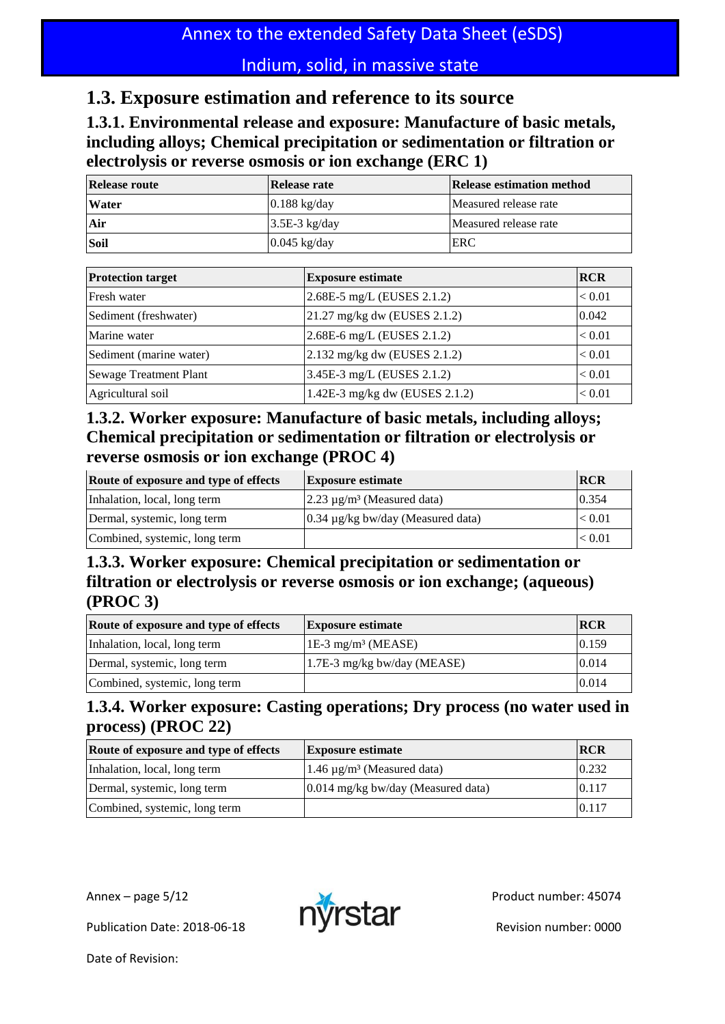## **1.3. Exposure estimation and reference to its source**

**1.3.1. Environmental release and exposure: Manufacture of basic metals, including alloys; Chemical precipitation or sedimentation or filtration or electrolysis or reverse osmosis or ion exchange (ERC 1)**

| <b>Release route</b> | Release rate           | Release estimation method |
|----------------------|------------------------|---------------------------|
| <b>Water</b>         | $0.188 \text{ kg/day}$ | Measured release rate     |
| Air                  | $3.5E-3$ kg/day        | Measured release rate     |
| Soil                 | $0.045$ kg/day         | ERC                       |

| <b>Protection target</b> | <b>Exposure estimate</b>       | <b>RCR</b> |
|--------------------------|--------------------------------|------------|
| Fresh water              | 2.68E-5 mg/L (EUSES 2.1.2)     | ${}< 0.01$ |
| Sediment (freshwater)    | 21.27 mg/kg dw (EUSES 2.1.2)   | 0.042      |
| Marine water             | 2.68E-6 mg/L (EUSES 2.1.2)     | < 0.01     |
| Sediment (marine water)  | 2.132 mg/kg dw (EUSES 2.1.2)   | < 0.01     |
| Sewage Treatment Plant   | 3.45E-3 mg/L (EUSES 2.1.2)     | < 0.01     |
| Agricultural soil        | 1.42E-3 mg/kg dw (EUSES 2.1.2) | < 0.01     |

### **1.3.2. Worker exposure: Manufacture of basic metals, including alloys; Chemical precipitation or sedimentation or filtration or electrolysis or reverse osmosis or ion exchange (PROC 4)**

| Route of exposure and type of effects | <b>Exposure estimate</b>                                  | <b>RCR</b> |
|---------------------------------------|-----------------------------------------------------------|------------|
| Inhalation, local, long term          | $\left 2.23 \right  \mu$ g/m <sup>3</sup> (Measured data) | 0.354      |
| Dermal, systemic, long term           | $0.34 \mu g/kg$ bw/day (Measured data)                    | < 0.01     |
| Combined, systemic, long term         |                                                           | < 0.01     |

### **1.3.3. Worker exposure: Chemical precipitation or sedimentation or filtration or electrolysis or reverse osmosis or ion exchange; (aqueous) (PROC 3)**

| Route of exposure and type of effects | <b>Exposure estimate</b>         | <b>IRCR</b> |
|---------------------------------------|----------------------------------|-------------|
| Inhalation, local, long term          | $1E-3$ mg/m <sup>3</sup> (MEASE) | 0.159       |
| Dermal, systemic, long term           | $1.7E-3$ mg/kg bw/day (MEASE)    | 0.014       |
| Combined, systemic, long term         |                                  | 0.014       |

### **1.3.4. Worker exposure: Casting operations; Dry process (no water used in process) (PROC 22)**

| Route of exposure and type of effects | <b>Exposure estimate</b>                    | <b>RCR</b> |
|---------------------------------------|---------------------------------------------|------------|
| Inhalation, local, long term          | 1.46 $\mu$ g/m <sup>3</sup> (Measured data) | 0.232      |
| Dermal, systemic, long term           | $0.014$ mg/kg bw/day (Measured data)        | 0.117      |
| Combined, systemic, long term         |                                             | 0.117      |

Publication Date: 2018-06-18 **Publication Date: 2018-06-18** 

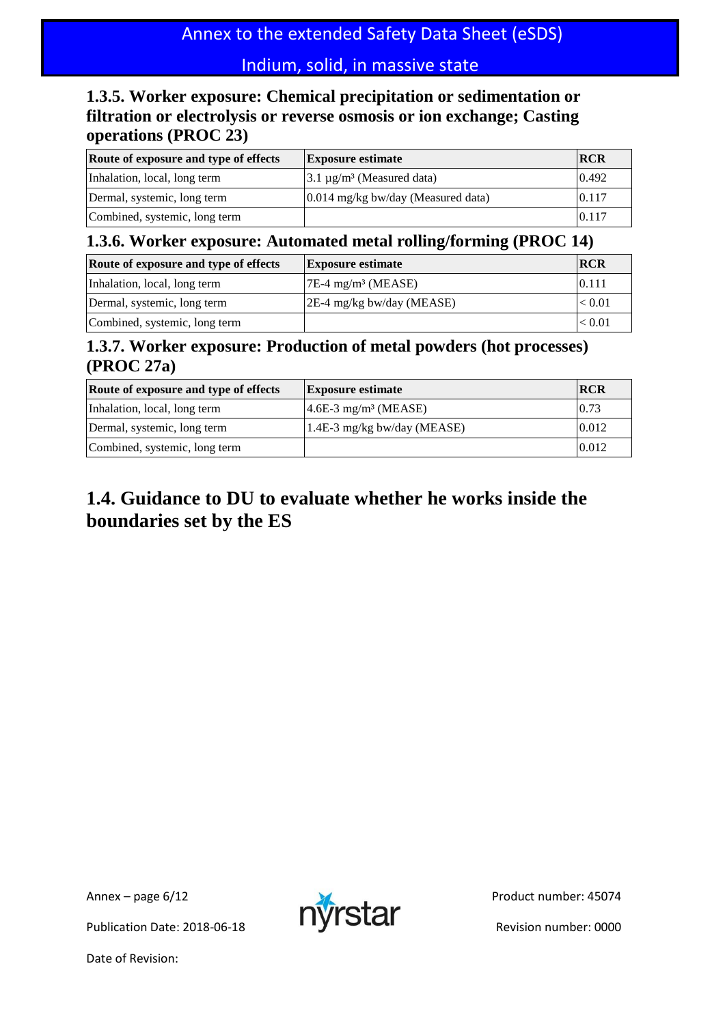### **1.3.5. Worker exposure: Chemical precipitation or sedimentation or filtration or electrolysis or reverse osmosis or ion exchange; Casting operations (PROC 23)**

| Route of exposure and type of effects | <b>Exposure estimate</b>             | <b>RCR</b> |
|---------------------------------------|--------------------------------------|------------|
| Inhalation, local, long term          | $3.1 \mu g/m3$ (Measured data)       | 0.492      |
| Dermal, systemic, long term           | $0.014$ mg/kg bw/day (Measured data) | 0.117      |
| Combined, systemic, long term         |                                      | 0.117      |

### **1.3.6. Worker exposure: Automated metal rolling/forming (PROC 14)**

| Route of exposure and type of effects | <b>Exposure estimate</b>             | <b>RCR</b> |
|---------------------------------------|--------------------------------------|------------|
| Inhalation, local, long term          | $7E-4$ mg/m <sup>3</sup> (MEASE)     | 0.111      |
| Dermal, systemic, long term           | $ 2E-4 \text{ mg/kg}$ bw/day (MEASE) | < 0.01     |
| Combined, systemic, long term         |                                      | < 0.01     |

### **1.3.7. Worker exposure: Production of metal powders (hot processes) (PROC 27a)**

| Route of exposure and type of effects | <b>Exposure estimate</b>           | <b>RCR</b> |
|---------------------------------------|------------------------------------|------------|
| Inhalation, local, long term          | $4.6E-3$ mg/m <sup>3</sup> (MEASE) | 0.73       |
| Dermal, systemic, long term           | 1.4E-3 mg/kg bw/day (MEASE)        | 0.012      |
| Combined, systemic, long term         |                                    | 0.012      |

## **1.4. Guidance to DU to evaluate whether he works inside the boundaries set by the ES**

Publication Date: 2018-06-18 **Publication Date: 2018-06-18** 

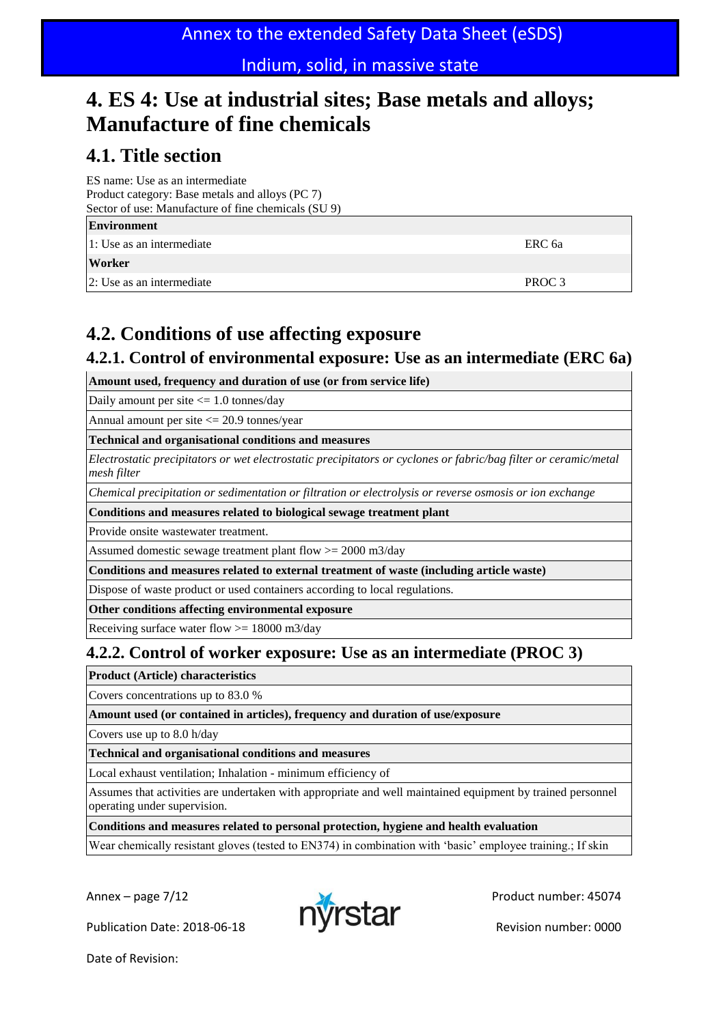## **4. ES 4: Use at industrial sites; Base metals and alloys; Manufacture of fine chemicals**

## **4.1. Title section**

ES name: Use as an intermediate Product category: Base metals and alloys (PC 7) Sector of use: Manufacture of fine chemicals (SU 9)

| <b>Environment</b>         |                   |
|----------------------------|-------------------|
| 1: Use as an intermediate  | ERC 6a            |
| Worker                     |                   |
| 12: Use as an intermediate | PROC <sub>3</sub> |
|                            |                   |

## **4.2. Conditions of use affecting exposure**

### **4.2.1. Control of environmental exposure: Use as an intermediate (ERC 6a)**

**Amount used, frequency and duration of use (or from service life)**

Daily amount per site <= 1.0 tonnes/day

Annual amount per site  $\leq$  20.9 tonnes/year

**Technical and organisational conditions and measures**

*Electrostatic precipitators or wet electrostatic precipitators or cyclones or fabric/bag filter or ceramic/metal mesh filter*

*Chemical precipitation or sedimentation or filtration or electrolysis or reverse osmosis or ion exchange*

#### **Conditions and measures related to biological sewage treatment plant**

Provide onsite wastewater treatment.

Assumed domestic sewage treatment plant flow  $>= 2000 \text{ m}^3/\text{day}$ 

**Conditions and measures related to external treatment of waste (including article waste)**

Dispose of waste product or used containers according to local regulations.

**Other conditions affecting environmental exposure**

Receiving surface water flow >= 18000 m3/day

### **4.2.2. Control of worker exposure: Use as an intermediate (PROC 3)**

**Product (Article) characteristics**

Covers concentrations up to 83.0 %

**Amount used (or contained in articles), frequency and duration of use/exposure**

Covers use up to 8.0 h/day

**Technical and organisational conditions and measures**

Local exhaust ventilation; Inhalation - minimum efficiency of

Assumes that activities are undertaken with appropriate and well maintained equipment by trained personnel operating under supervision.

**Conditions and measures related to personal protection, hygiene and health evaluation**

Wear chemically resistant gloves (tested to EN374) in combination with 'basic' employee training.; If skin

Publication Date: 2018-06-18 **Publication Date: 2018-06-18** 

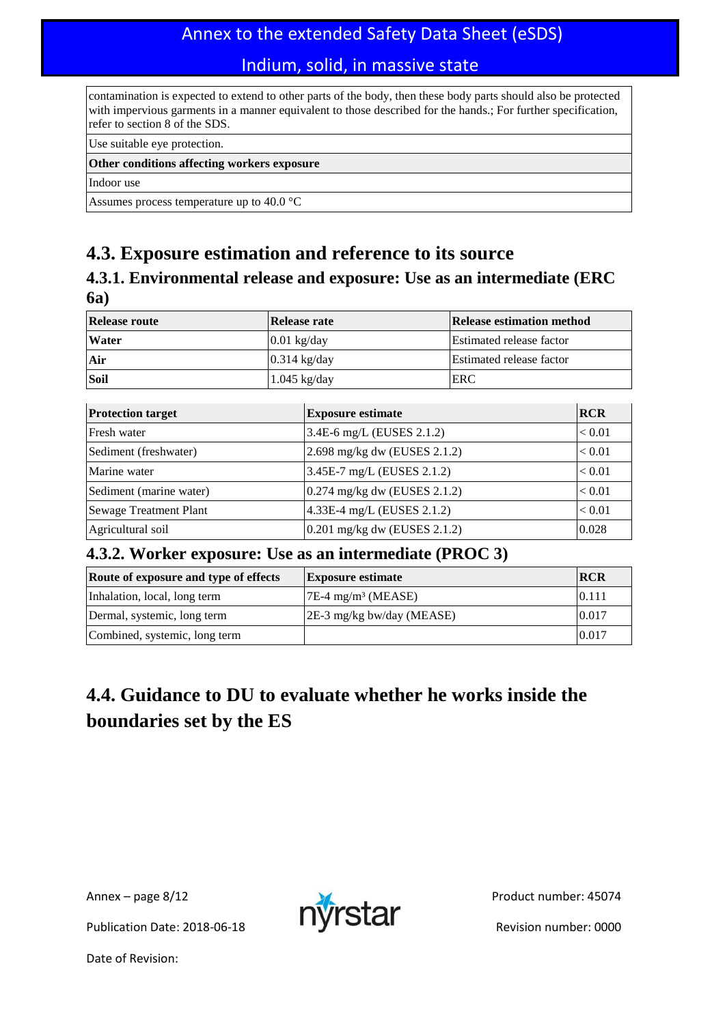## Annex to the extended Safety Data Sheet (eSDS)

### Indium, solid, in massive state

contamination is expected to extend to other parts of the body, then these body parts should also be protected with impervious garments in a manner equivalent to those described for the hands.; For further specification, refer to section 8 of the SDS.

Use suitable eye protection.

#### **Other conditions affecting workers exposure**

Indoor use

Assumes process temperature up to 40.0 °C

### **4.3. Exposure estimation and reference to its source**

### **4.3.1. Environmental release and exposure: Use as an intermediate (ERC 6a)**

| <b>Release route</b> | Release rate   | Release estimation method       |
|----------------------|----------------|---------------------------------|
| <b>Water</b>         | $0.01$ kg/day  | <b>Estimated release factor</b> |
| Air                  | $0.314$ kg/day | <b>Estimated release factor</b> |
| Soil                 | $1.045$ kg/day | ERC                             |

| <b>Protection target</b> | <b>Exposure estimate</b>       | <b>RCR</b>    |
|--------------------------|--------------------------------|---------------|
| Fresh water              | 3.4E-6 mg/L (EUSES 2.1.2)      | ${}_{< 0.01}$ |
| Sediment (freshwater)    | 2.698 mg/kg dw (EUSES 2.1.2)   | < 0.01        |
| Marine water             | $3.45E-7$ mg/L (EUSES 2.1.2)   | < 0.01        |
| Sediment (marine water)  | $0.274$ mg/kg dw (EUSES 2.1.2) | < 0.01        |
| Sewage Treatment Plant   | 4.33E-4 mg/L (EUSES 2.1.2)     | < 0.01        |
| Agricultural soil        | $0.201$ mg/kg dw (EUSES 2.1.2) | 0.028         |

### **4.3.2. Worker exposure: Use as an intermediate (PROC 3)**

| Route of exposure and type of effects | <b>Exposure estimate</b>         | <b>RCR</b> |
|---------------------------------------|----------------------------------|------------|
| Inhalation, local, long term          | $7E-4$ mg/m <sup>3</sup> (MEASE) | 0.111      |
| Dermal, systemic, long term           | $ 2E-3$ mg/kg bw/day (MEASE)     | 0.017      |
| Combined, systemic, long term         |                                  | 0.017      |

## **4.4. Guidance to DU to evaluate whether he works inside the boundaries set by the ES**

Publication Date: 2018-06-18 **Publication Date: 2018-06-18** 

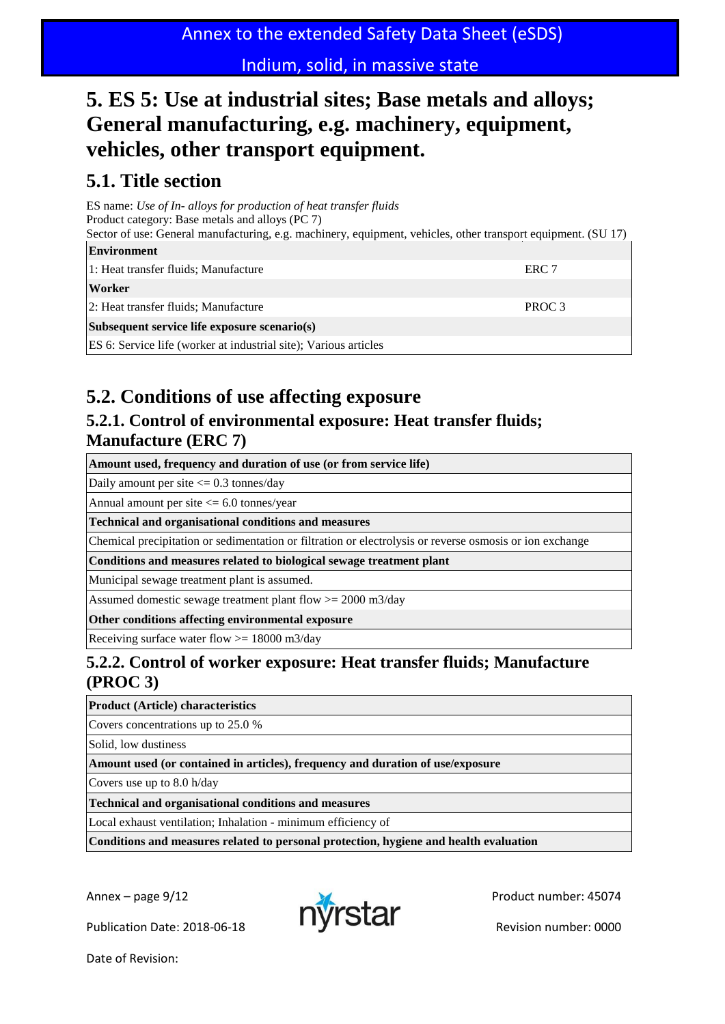## **5. ES 5: Use at industrial sites; Base metals and alloys; General manufacturing, e.g. machinery, equipment, vehicles, other transport equipment.**

## **5.1. Title section**

ES name: *Use of In- alloys for production of heat transfer fluids* Product category: Base metals and alloys (PC 7) Sector of use: General manufacturing, e.g. machinery, equipment, vehicles, other transport equipment. (SU 17) **Environment** 1: Heat transfer fluids; Manufacture **ERC 7 Worker** 2: Heat transfer fluids; Manufacture **PROC 3 Subsequent service life exposure scenario(s)** ES 6: Service life (worker at industrial site); Various articles

## **5.2. Conditions of use affecting exposure**

### **5.2.1. Control of environmental exposure: Heat transfer fluids; Manufacture (ERC 7)**

**Amount used, frequency and duration of use (or from service life)**

Daily amount per site  $\leq$  0.3 tonnes/day

Annual amount per site <= 6.0 tonnes/year

**Technical and organisational conditions and measures**

Chemical precipitation or sedimentation or filtration or electrolysis or reverse osmosis or ion exchange

**Conditions and measures related to biological sewage treatment plant**

Municipal sewage treatment plant is assumed.

Assumed domestic sewage treatment plant flow >= 2000 m3/day

**Other conditions affecting environmental exposure**

Receiving surface water flow >= 18000 m3/day

### **5.2.2. Control of worker exposure: Heat transfer fluids; Manufacture (PROC 3)**

**Product (Article) characteristics**

Covers concentrations up to 25.0 %

Solid, low dustiness

**Amount used (or contained in articles), frequency and duration of use/exposure**

Covers use up to 8.0 h/day

**Technical and organisational conditions and measures**

Local exhaust ventilation; Inhalation - minimum efficiency of

**Conditions and measures related to personal protection, hygiene and health evaluation**

Publication Date: 2018-06-18 **Publication Date: 2018-06-18** 

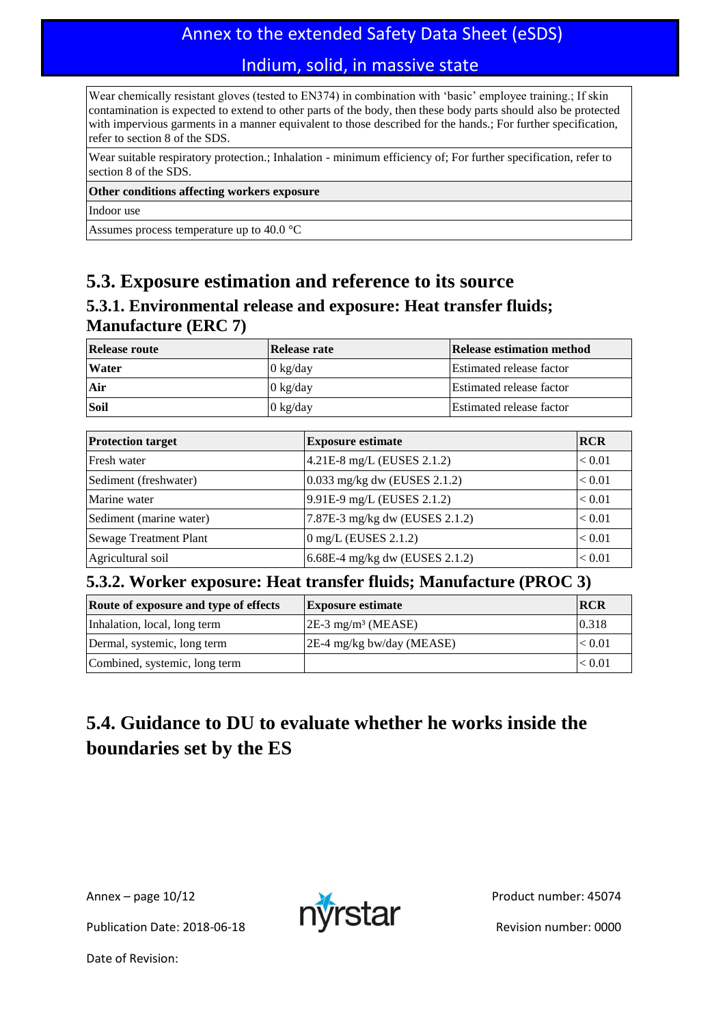## Annex to the extended Safety Data Sheet (eSDS)

### Indium, solid, in massive state

Wear chemically resistant gloves (tested to EN374) in combination with 'basic' employee training.; If skin contamination is expected to extend to other parts of the body, then these body parts should also be protected with impervious garments in a manner equivalent to those described for the hands.; For further specification, refer to section 8 of the SDS.

Wear suitable respiratory protection.; Inhalation - minimum efficiency of; For further specification, refer to section 8 of the SDS.

#### **Other conditions affecting workers exposure**

Indoor use

Assumes process temperature up to 40.0 °C

### **5.3. Exposure estimation and reference to its source**

### **5.3.1. Environmental release and exposure: Heat transfer fluids; Manufacture (ERC 7)**

| <b>Release route</b> | Release rate       | Release estimation method       |
|----------------------|--------------------|---------------------------------|
| <b>Water</b>         | $0 \text{ kg/day}$ | <b>Estimated release factor</b> |
| Air                  | $0 \text{ kg/day}$ | Estimated release factor        |
| <b>Soil</b>          | $0 \text{ kg/day}$ | Estimated release factor        |

| <b>Protection target</b>      | <b>Exposure estimate</b>       | <b>RCR</b> |
|-------------------------------|--------------------------------|------------|
| Fresh water                   | $4.21E-8$ mg/L (EUSES 2.1.2)   | < 0.01     |
| Sediment (freshwater)         | $0.033$ mg/kg dw (EUSES 2.1.2) | < 0.01     |
| Marine water                  | 9.91E-9 mg/L (EUSES 2.1.2)     | < 0.01     |
| Sediment (marine water)       | 7.87E-3 mg/kg dw (EUSES 2.1.2) | < 0.01     |
| <b>Sewage Treatment Plant</b> | $0 \text{ mg/L}$ (EUSES 2.1.2) | < 0.01     |
| Agricultural soil             | 6.68E-4 mg/kg dw (EUSES 2.1.2) | < 0.01     |

### **5.3.2. Worker exposure: Heat transfer fluids; Manufacture (PROC 3)**

| Route of exposure and type of effects | <b>Exposure estimate</b>         | <b>IRCR</b> |
|---------------------------------------|----------------------------------|-------------|
| Inhalation, local, long term          | $2E-3$ mg/m <sup>3</sup> (MEASE) | 0.318       |
| Dermal, systemic, long term           | $ 2E-4$ mg/kg bw/day (MEASE)     | < 0.01      |
| Combined, systemic, long term         |                                  | < 0.01      |

## **5.4. Guidance to DU to evaluate whether he works inside the boundaries set by the ES**

Publication Date: 2018-06-18 **Publication Date: 2018-06-18** 

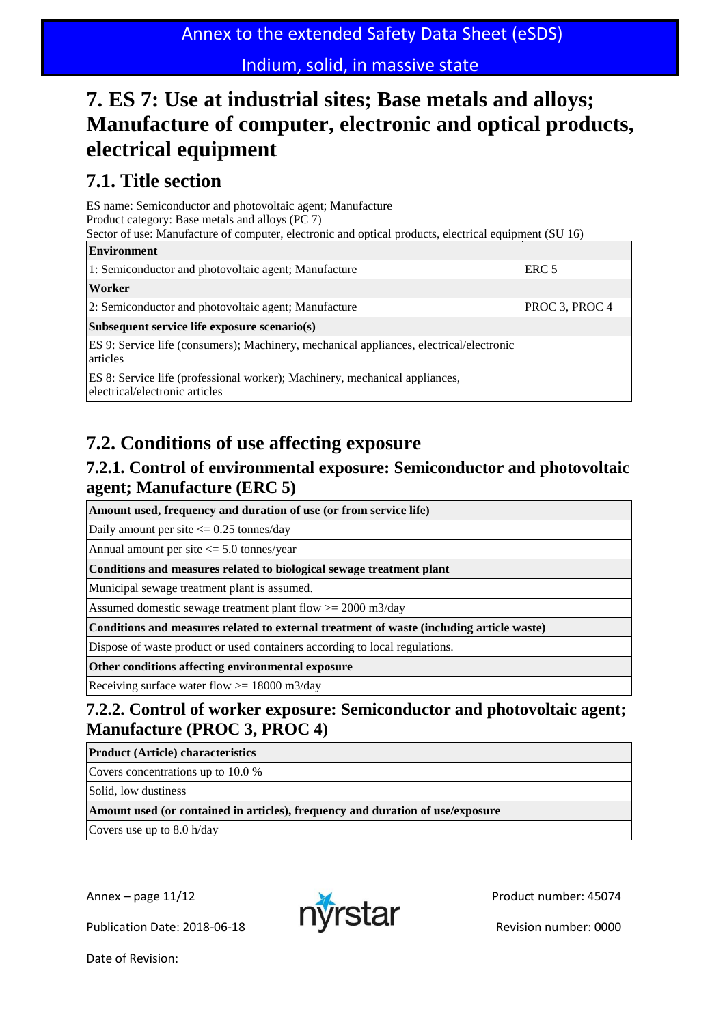## **7. ES 7: Use at industrial sites; Base metals and alloys; Manufacture of computer, electronic and optical products, electrical equipment**

## **7.1. Title section**

| ES name: Semiconductor and photovoltaic agent; Manufacture<br>Product category: Base metals and alloys (PC 7)<br>Sector of use: Manufacture of computer, electronic and optical products, electrical equipment (SU 16) |                  |
|------------------------------------------------------------------------------------------------------------------------------------------------------------------------------------------------------------------------|------------------|
| <b>Environment</b>                                                                                                                                                                                                     |                  |
| 1: Semiconductor and photovoltaic agent; Manufacture                                                                                                                                                                   | ERC <sub>5</sub> |
| Worker                                                                                                                                                                                                                 |                  |
| 2: Semiconductor and photovoltaic agent; Manufacture                                                                                                                                                                   | PROC 3, PROC 4   |
| Subsequent service life exposure scenario(s)                                                                                                                                                                           |                  |
| ES 9: Service life (consumers); Machinery, mechanical appliances, electrical/electronic<br>articles                                                                                                                    |                  |
| ES 8: Service life (professional worker); Machinery, mechanical appliances,<br>electrical/electronic articles                                                                                                          |                  |
|                                                                                                                                                                                                                        |                  |

## **7.2. Conditions of use affecting exposure**

### **7.2.1. Control of environmental exposure: Semiconductor and photovoltaic agent; Manufacture (ERC 5)**

**Amount used, frequency and duration of use (or from service life)**

Daily amount per site  $\leq$  0.25 tonnes/day

Annual amount per site <= 5.0 tonnes/year

**Conditions and measures related to biological sewage treatment plant**

Municipal sewage treatment plant is assumed.

Assumed domestic sewage treatment plant flow >= 2000 m3/day

**Conditions and measures related to external treatment of waste (including article waste)**

Dispose of waste product or used containers according to local regulations.

**Other conditions affecting environmental exposure**

Receiving surface water flow  $>= 18000$  m3/day

### **7.2.2. Control of worker exposure: Semiconductor and photovoltaic agent; Manufacture (PROC 3, PROC 4)**

**Product (Article) characteristics**

Covers concentrations up to 10.0 %

Solid, low dustiness

**Amount used (or contained in articles), frequency and duration of use/exposure**

Covers use up to 8.0 h/day

Publication Date: 2018-06-18 **Publication Date: 2018-06-18**